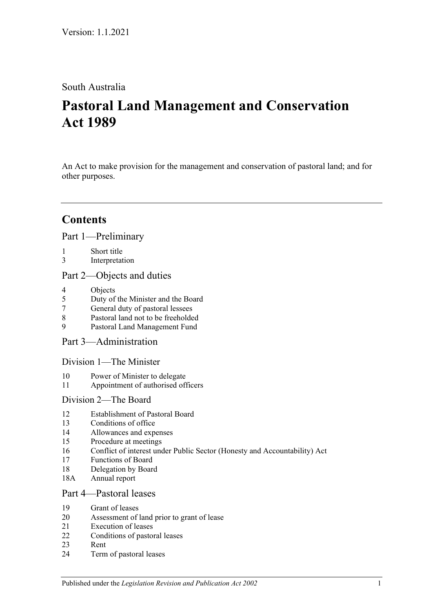## South Australia

# **Pastoral Land Management and Conservation Act 1989**

An Act to make provision for the management and conservation of pastoral land; and for other purposes.

## **Contents**

[Part 1—Preliminary](#page-2-0)

- 1 [Short title](#page-2-1)
- 3 [Interpretation](#page-3-0)

### [Part 2—Objects and duties](#page-4-0)

- 4 [Objects](#page-4-1)<br>5 Duty of
- 5 [Duty of the Minister and the Board](#page-5-0)
- 7 [General duty of pastoral lessees](#page-5-1)
- 8 [Pastoral land not to be freeholded](#page-5-2)
- 9 [Pastoral Land Management Fund](#page-5-3)

[Part 3—Administration](#page-6-0)

[Division 1—The Minister](#page-6-1)

- 10 [Power of Minister to delegate](#page-6-2)
- 11 [Appointment of authorised officers](#page-7-0)

### [Division 2—The Board](#page-7-1)

- 12 [Establishment of Pastoral Board](#page-7-2)
- 13 [Conditions of office](#page-8-0)
- 14 [Allowances and expenses](#page-8-1)
- 15 [Procedure at meetings](#page-8-2)
- 16 [Conflict of interest under Public Sector \(Honesty and Accountability\) Act](#page-9-0)
- 17 [Functions of Board](#page-9-1)
- 18 [Delegation by Board](#page-9-2)
- 18A [Annual report](#page-10-0)

### [Part 4—Pastoral leases](#page-10-1)

- 19 [Grant of leases](#page-10-2)
- 20 [Assessment of land prior to grant of lease](#page-10-3)
- 21 [Execution of leases](#page-11-0)
- 22 [Conditions of pastoral leases](#page-11-1)
- 23 [Rent](#page-13-0)
- 24 [Term of pastoral leases](#page-14-0)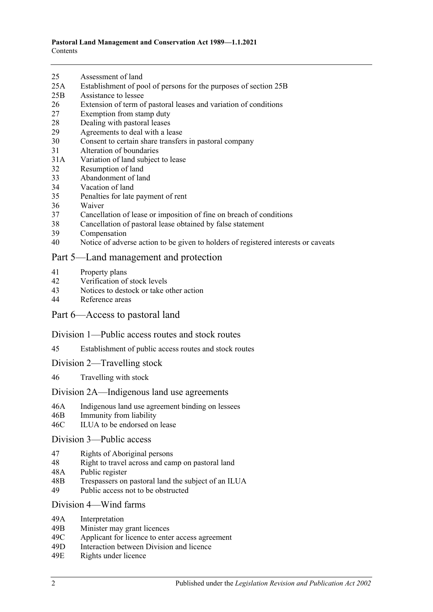- 25 [Assessment of land](#page-15-0)
- 25A [Establishment of pool of persons for the purposes of section](#page-15-1) 25B
- 25B [Assistance to lessee](#page-16-0)
- 26 [Extension of term of pastoral leases and variation of conditions](#page-17-0)
- 27 [Exemption from stamp duty](#page-17-1)
- 28 [Dealing with pastoral leases](#page-18-0)
- 29 [Agreements to deal with a lease](#page-18-1)
- 30 [Consent to certain share transfers in pastoral company](#page-18-2)
- 31 [Alteration of boundaries](#page-19-0)
- 31A [Variation of land subject to lease](#page-19-1)
- 32 [Resumption of land](#page-20-0)
- 33 [Abandonment of land](#page-20-1)
- 34 [Vacation of land](#page-20-2)
- 35 [Penalties for late payment of rent](#page-21-0)
- 36 [Waiver](#page-21-1)
- 37 [Cancellation of lease or imposition of fine on breach of conditions](#page-21-2)
- 38 [Cancellation of pastoral lease obtained by false statement](#page-21-3)
- 39 [Compensation](#page-22-0)
- 40 [Notice of adverse action to be given to holders of registered interests or caveats](#page-22-1)

#### [Part 5—Land management and protection](#page-22-2)

- 41 [Property plans](#page-22-3)
- 42 [Verification of stock levels](#page-23-0)
- 43 [Notices to destock or take other action](#page-24-0)
- 44 [Reference areas](#page-25-0)

#### [Part 6—Access to pastoral land](#page-25-1)

#### [Division 1—Public access routes and stock routes](#page-25-2)

- 45 [Establishment of public access routes and stock routes](#page-25-3)
- [Division 2—Travelling stock](#page-27-0)
- 46 [Travelling with stock](#page-27-1)

#### [Division 2A—Indigenous land use agreements](#page-27-2)

- 46A [Indigenous land use agreement binding on lessees](#page-27-3)
- 46B [Immunity from liability](#page-28-0)
- 46C [ILUA to be endorsed on lease](#page-28-1)

#### [Division 3—Public access](#page-29-0)

- 47 [Rights of Aboriginal persons](#page-29-1)
- 48 [Right to travel across and camp on pastoral land](#page-29-2)
- 48A [Public register](#page-30-0)
- 48B [Trespassers on pastoral land the subject of an ILUA](#page-31-0)
- 49 [Public access not to be obstructed](#page-32-0)

#### Division [4—Wind farms](#page-32-1)

- 49A [Interpretation](#page-32-2)
- 49B [Minister may grant licences](#page-33-0)
- 49C [Applicant for licence to enter access agreement](#page-33-1)
- 49D [Interaction between Division and licence](#page-34-0)
- 49E [Rights under licence](#page-34-1)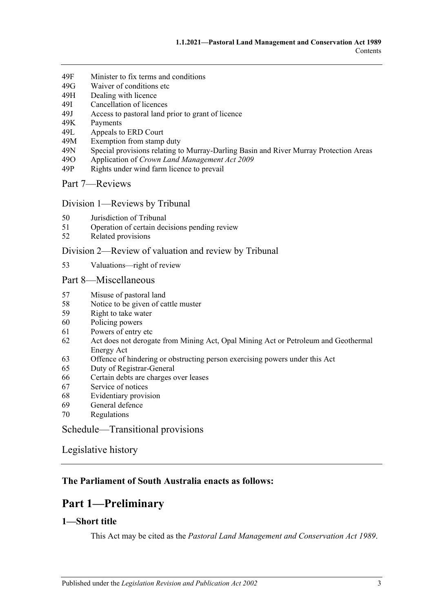- 49F [Minister to fix terms and conditions](#page-34-2)
- 49G [Waiver of conditions etc](#page-35-0)
- 49H [Dealing with licence](#page-35-1)
- 49I [Cancellation of licences](#page-36-0)
- 49J [Access to pastoral land prior to grant of licence](#page-36-1)
- 49K [Payments](#page-37-0)
- 49L [Appeals to ERD Court](#page-37-1)<br>49M Exemption from stamp
- [Exemption from stamp duty](#page-39-0)
- 49N [Special provisions relating to Murray-Darling Basin and River](#page-39-1) Murray Protection Areas<br>490 Application of Crown Land Management Act 2009
- 49O Application of *[Crown Land Management Act](#page-39-2) 2009*
- 49P [Rights under wind farm licence to prevail](#page-39-3)

[Part 7—Reviews](#page-39-4)

#### Division [1—Reviews by Tribunal](#page-39-5)

- 50 [Jurisdiction of Tribunal](#page-39-6)
- 51 [Operation of certain decisions pending review](#page-40-0)
- 52 [Related provisions](#page-40-1)

#### Division [2—Review of valuation and review by Tribunal](#page-41-0)

53 [Valuations—right of review](#page-41-1)

#### [Part 8—Miscellaneous](#page-41-2)

- 57 [Misuse of pastoral land](#page-41-3)
- 58 [Notice to be given of cattle muster](#page-42-0)
- 59 [Right to take water](#page-42-1)
- 60 [Policing powers](#page-42-2)
- 61 [Powers of entry etc](#page-43-0)
- 62 [Act does not derogate from Mining Act, Opal Mining Act or Petroleum and Geothermal](#page-43-1)  [Energy Act](#page-43-1)
- 63 [Offence of hindering or obstructing person exercising powers under this Act](#page-43-2)
- 65 [Duty of Registrar-General](#page-44-0)
- 66 [Certain debts are charges over leases](#page-44-1)
- 67 [Service of notices](#page-44-2)
- 68 [Evidentiary provision](#page-44-3)
- 69 [General defence](#page-45-0)
- 70 [Regulations](#page-45-1)

[Schedule—Transitional provisions](#page-45-2)

[Legislative history](#page-47-0)

### <span id="page-2-0"></span>**The Parliament of South Australia enacts as follows:**

## **Part 1—Preliminary**

## <span id="page-2-1"></span>**1—Short title**

This Act may be cited as the *Pastoral Land Management and Conservation Act 1989*.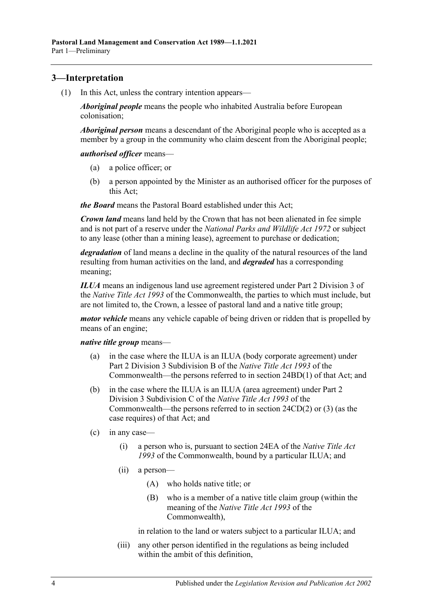## <span id="page-3-2"></span><span id="page-3-0"></span>**3—Interpretation**

(1) In this Act, unless the contrary intention appears—

*Aboriginal people* means the people who inhabited Australia before European colonisation;

*Aboriginal person* means a descendant of the Aboriginal people who is accepted as a member by a group in the community who claim descent from the Aboriginal people;

*authorised officer* means—

- (a) a police officer; or
- (b) a person appointed by the Minister as an authorised officer for the purposes of this Act;

*the Board* means the Pastoral Board established under this Act;

*Crown land* means land held by the Crown that has not been alienated in fee simple and is not part of a reserve under the *[National Parks and Wildlife Act](http://www.legislation.sa.gov.au/index.aspx?action=legref&type=act&legtitle=National%20Parks%20and%20Wildlife%20Act%201972) 1972* or subject to any lease (other than a mining lease), agreement to purchase or dedication;

*degradation* of land means a decline in the quality of the natural resources of the land resulting from human activities on the land, and *degraded* has a corresponding meaning;

*ILUA* means an indigenous land use agreement registered under Part 2 Division 3 of the *Native Title Act 1993* of the Commonwealth, the parties to which must include, but are not limited to, the Crown, a lessee of pastoral land and a native title group;

*motor vehicle* means any vehicle capable of being driven or ridden that is propelled by means of an engine;

*native title group* means—

- (a) in the case where the ILUA is an ILUA (body corporate agreement) under Part 2 Division 3 Subdivision B of the *Native Title Act 1993* of the Commonwealth—the persons referred to in section 24BD(1) of that Act; and
- (b) in the case where the ILUA is an ILUA (area agreement) under Part 2 Division 3 Subdivision C of the *Native Title Act 1993* of the Commonwealth—the persons referred to in section 24CD(2) or (3) (as the case requires) of that Act; and
- <span id="page-3-1"></span>(c) in any case—
	- (i) a person who is, pursuant to section 24EA of the *Native Title Act 1993* of the Commonwealth, bound by a particular ILUA; and
	- (ii) a person—
		- (A) who holds native title; or
		- (B) who is a member of a native title claim group (within the meaning of the *Native Title Act 1993* of the Commonwealth),

in relation to the land or waters subject to a particular ILUA; and

(iii) any other person identified in the regulations as being included within the ambit of this definition,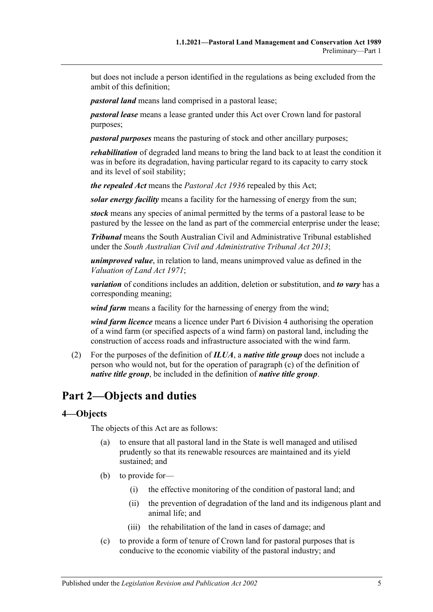but does not include a person identified in the regulations as being excluded from the ambit of this definition;

*pastoral land* means land comprised in a pastoral lease;

*pastoral lease* means a lease granted under this Act over Crown land for pastoral purposes;

*pastoral purposes* means the pasturing of stock and other ancillary purposes;

*rehabilitation* of degraded land means to bring the land back to at least the condition it was in before its degradation, having particular regard to its capacity to carry stock and its level of soil stability;

*the repealed Act* means the *[Pastoral Act](http://www.legislation.sa.gov.au/index.aspx?action=legref&type=act&legtitle=Pastoral%20Act%201936) 1936* repealed by this Act;

*solar energy facility* means a facility for the harnessing of energy from the sun;

*stock* means any species of animal permitted by the terms of a pastoral lease to be pastured by the lessee on the land as part of the commercial enterprise under the lease;

*Tribunal* means the South Australian Civil and Administrative Tribunal established under the *[South Australian Civil and Administrative Tribunal](http://www.legislation.sa.gov.au/index.aspx?action=legref&type=act&legtitle=South%20Australian%20Civil%20and%20Administrative%20Tribunal%20Act%202013) Act 2013*;

*unimproved value*, in relation to land, means unimproved value as defined in the *[Valuation of Land Act](http://www.legislation.sa.gov.au/index.aspx?action=legref&type=act&legtitle=Valuation%20of%20Land%20Act%201971) 1971*;

*variation* of conditions includes an addition, deletion or substitution, and *to vary* has a corresponding meaning;

*wind farm* means a facility for the harnessing of energy from the wind;

*wind farm licence* means a licence under [Part 6 Division](#page-32-1) 4 authorising the operation of a wind farm (or specified aspects of a wind farm) on pastoral land, including the construction of access roads and infrastructure associated with the wind farm.

(2) For the purposes of the definition of *ILUA*, a *native title group* does not include a person who would not, but for the operation of [paragraph](#page-3-1) (c) of the definition of *native title group*, be included in the definition of *native title group*.

## <span id="page-4-0"></span>**Part 2—Objects and duties**

#### <span id="page-4-1"></span>**4—Objects**

The objects of this Act are as follows:

- (a) to ensure that all pastoral land in the State is well managed and utilised prudently so that its renewable resources are maintained and its yield sustained; and
- (b) to provide for—
	- (i) the effective monitoring of the condition of pastoral land; and
	- (ii) the prevention of degradation of the land and its indigenous plant and animal life; and
	- (iii) the rehabilitation of the land in cases of damage; and
- (c) to provide a form of tenure of Crown land for pastoral purposes that is conducive to the economic viability of the pastoral industry; and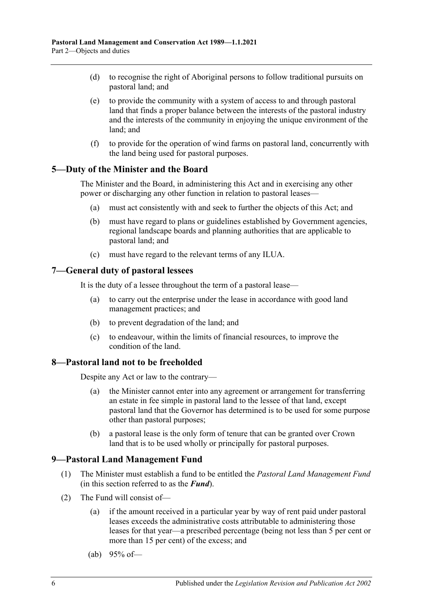- (d) to recognise the right of Aboriginal persons to follow traditional pursuits on pastoral land; and
- (e) to provide the community with a system of access to and through pastoral land that finds a proper balance between the interests of the pastoral industry and the interests of the community in enjoying the unique environment of the land; and
- (f) to provide for the operation of wind farms on pastoral land, concurrently with the land being used for pastoral purposes.

### <span id="page-5-0"></span>**5—Duty of the Minister and the Board**

The Minister and the Board, in administering this Act and in exercising any other power or discharging any other function in relation to pastoral leases—

- (a) must act consistently with and seek to further the objects of this Act; and
- (b) must have regard to plans or guidelines established by Government agencies, regional landscape boards and planning authorities that are applicable to pastoral land; and
- (c) must have regard to the relevant terms of any ILUA.

#### <span id="page-5-1"></span>**7—General duty of pastoral lessees**

It is the duty of a lessee throughout the term of a pastoral lease—

- (a) to carry out the enterprise under the lease in accordance with good land management practices; and
- (b) to prevent degradation of the land; and
- (c) to endeavour, within the limits of financial resources, to improve the condition of the land.

#### <span id="page-5-2"></span>**8—Pastoral land not to be freeholded**

Despite any Act or law to the contrary—

- (a) the Minister cannot enter into any agreement or arrangement for transferring an estate in fee simple in pastoral land to the lessee of that land, except pastoral land that the Governor has determined is to be used for some purpose other than pastoral purposes;
- (b) a pastoral lease is the only form of tenure that can be granted over Crown land that is to be used wholly or principally for pastoral purposes.

#### <span id="page-5-3"></span>**9—Pastoral Land Management Fund**

- (1) The Minister must establish a fund to be entitled the *Pastoral Land Management Fund* (in this section referred to as the *Fund*).
- <span id="page-5-4"></span>(2) The Fund will consist of—
	- (a) if the amount received in a particular year by way of rent paid under pastoral leases exceeds the administrative costs attributable to administering those leases for that year—a prescribed percentage (being not less than 5 per cent or more than 15 per cent) of the excess; and
	- (ab) 95% of—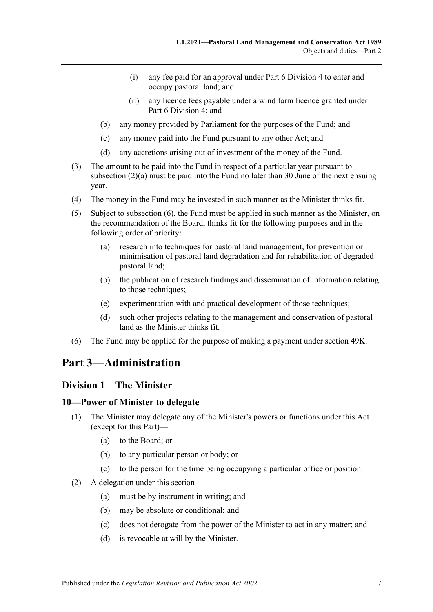- (i) any fee paid for an approval under [Part 6 Division](#page-32-1) 4 to enter and occupy pastoral land; and
- (ii) any licence fees payable under a wind farm licence granted under [Part 6 Division](#page-32-1) 4; and
- (b) any money provided by Parliament for the purposes of the Fund; and
- (c) any money paid into the Fund pursuant to any other Act; and
- (d) any accretions arising out of investment of the money of the Fund.
- (3) The amount to be paid into the Fund in respect of a particular year pursuant to [subsection](#page-5-4) (2)(a) must be paid into the Fund no later than 30 June of the next ensuing year.
- (4) The money in the Fund may be invested in such manner as the Minister thinks fit.
- (5) Subject to [subsection](#page-6-3) (6), the Fund must be applied in such manner as the Minister, on the recommendation of the Board, thinks fit for the following purposes and in the following order of priority:
	- (a) research into techniques for pastoral land management, for prevention or minimisation of pastoral land degradation and for rehabilitation of degraded pastoral land;
	- (b) the publication of research findings and dissemination of information relating to those techniques;
	- (e) experimentation with and practical development of those techniques;
	- (d) such other projects relating to the management and conservation of pastoral land as the Minister thinks fit.
- <span id="page-6-3"></span>(6) The Fund may be applied for the purpose of making a payment under [section](#page-37-0) 49K.

## <span id="page-6-0"></span>**Part 3—Administration**

### <span id="page-6-1"></span>**Division 1—The Minister**

#### <span id="page-6-2"></span>**10—Power of Minister to delegate**

- (1) The Minister may delegate any of the Minister's powers or functions under this Act (except for this Part)—
	- (a) to the Board; or
	- (b) to any particular person or body; or
	- (c) to the person for the time being occupying a particular office or position.
- (2) A delegation under this section—
	- (a) must be by instrument in writing; and
	- (b) may be absolute or conditional; and
	- (c) does not derogate from the power of the Minister to act in any matter; and
	- (d) is revocable at will by the Minister.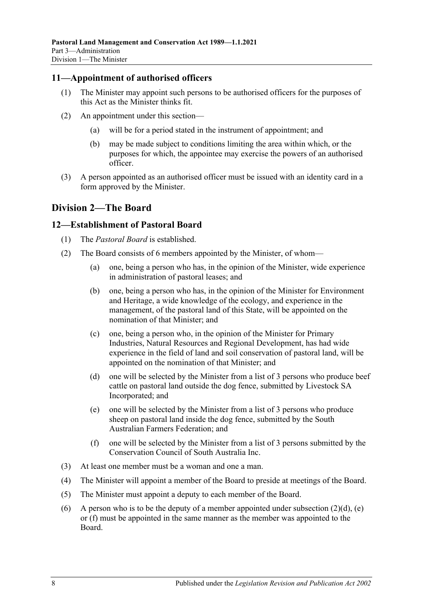#### <span id="page-7-0"></span>**11—Appointment of authorised officers**

- (1) The Minister may appoint such persons to be authorised officers for the purposes of this Act as the Minister thinks fit.
- (2) An appointment under this section—
	- (a) will be for a period stated in the instrument of appointment; and
	- (b) may be made subject to conditions limiting the area within which, or the purposes for which, the appointee may exercise the powers of an authorised officer.
- (3) A person appointed as an authorised officer must be issued with an identity card in a form approved by the Minister.

## <span id="page-7-1"></span>**Division 2—The Board**

### <span id="page-7-2"></span>**12—Establishment of Pastoral Board**

- (1) The *Pastoral Board* is established.
- (2) The Board consists of 6 members appointed by the Minister, of whom—
	- (a) one, being a person who has, in the opinion of the Minister, wide experience in administration of pastoral leases; and
	- (b) one, being a person who has, in the opinion of the Minister for Environment and Heritage, a wide knowledge of the ecology, and experience in the management, of the pastoral land of this State, will be appointed on the nomination of that Minister; and
	- (c) one, being a person who, in the opinion of the Minister for Primary Industries, Natural Resources and Regional Development, has had wide experience in the field of land and soil conservation of pastoral land, will be appointed on the nomination of that Minister; and
	- (d) one will be selected by the Minister from a list of 3 persons who produce beef cattle on pastoral land outside the dog fence, submitted by Livestock SA Incorporated; and
	- (e) one will be selected by the Minister from a list of 3 persons who produce sheep on pastoral land inside the dog fence, submitted by the South Australian Farmers Federation; and
	- (f) one will be selected by the Minister from a list of 3 persons submitted by the Conservation Council of South Australia Inc.
- <span id="page-7-5"></span><span id="page-7-4"></span><span id="page-7-3"></span>(3) At least one member must be a woman and one a man.
- (4) The Minister will appoint a member of the Board to preside at meetings of the Board.
- (5) The Minister must appoint a deputy to each member of the Board.
- (6) A person who is to be the deputy of a member appointed under [subsection](#page-7-3)  $(2)(d)$ , [\(e\)](#page-7-4) or [\(f\)](#page-7-5) must be appointed in the same manner as the member was appointed to the Board.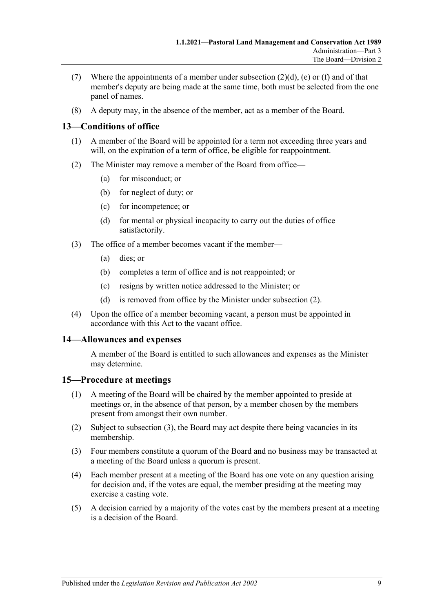- (7) Where the appointments of a member under [subsection](#page-7-3)  $(2)(d)$ , [\(e\)](#page-7-4) or [\(f\)](#page-7-5) and of that member's deputy are being made at the same time, both must be selected from the one panel of names.
- (8) A deputy may, in the absence of the member, act as a member of the Board.

## <span id="page-8-0"></span>**13—Conditions of office**

- (1) A member of the Board will be appointed for a term not exceeding three years and will, on the expiration of a term of office, be eligible for reappointment.
- <span id="page-8-3"></span>(2) The Minister may remove a member of the Board from office—
	- (a) for misconduct; or
	- (b) for neglect of duty; or
	- (c) for incompetence; or
	- (d) for mental or physical incapacity to carry out the duties of office satisfactorily.
- (3) The office of a member becomes vacant if the member—
	- (a) dies; or
	- (b) completes a term of office and is not reappointed; or
	- (c) resigns by written notice addressed to the Minister; or
	- (d) is removed from office by the Minister under [subsection](#page-8-3) (2).
- (4) Upon the office of a member becoming vacant, a person must be appointed in accordance with this Act to the vacant office.

### <span id="page-8-1"></span>**14—Allowances and expenses**

A member of the Board is entitled to such allowances and expenses as the Minister may determine.

### <span id="page-8-2"></span>**15—Procedure at meetings**

- (1) A meeting of the Board will be chaired by the member appointed to preside at meetings or, in the absence of that person, by a member chosen by the members present from amongst their own number.
- (2) Subject to [subsection](#page-8-4) (3), the Board may act despite there being vacancies in its membership.
- <span id="page-8-4"></span>(3) Four members constitute a quorum of the Board and no business may be transacted at a meeting of the Board unless a quorum is present.
- (4) Each member present at a meeting of the Board has one vote on any question arising for decision and, if the votes are equal, the member presiding at the meeting may exercise a casting vote.
- (5) A decision carried by a majority of the votes cast by the members present at a meeting is a decision of the Board.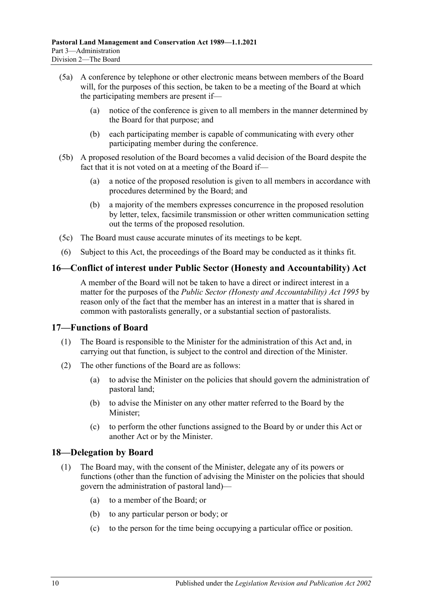- (5a) A conference by telephone or other electronic means between members of the Board will, for the purposes of this section, be taken to be a meeting of the Board at which the participating members are present if—
	- (a) notice of the conference is given to all members in the manner determined by the Board for that purpose; and
	- (b) each participating member is capable of communicating with every other participating member during the conference.
- (5b) A proposed resolution of the Board becomes a valid decision of the Board despite the fact that it is not voted on at a meeting of the Board if—
	- (a) a notice of the proposed resolution is given to all members in accordance with procedures determined by the Board; and
	- (b) a majority of the members expresses concurrence in the proposed resolution by letter, telex, facsimile transmission or other written communication setting out the terms of the proposed resolution.
- (5c) The Board must cause accurate minutes of its meetings to be kept.
- (6) Subject to this Act, the proceedings of the Board may be conducted as it thinks fit.

### <span id="page-9-0"></span>**16—Conflict of interest under Public Sector (Honesty and Accountability) Act**

A member of the Board will not be taken to have a direct or indirect interest in a matter for the purposes of the *[Public Sector \(Honesty and Accountability\) Act](http://www.legislation.sa.gov.au/index.aspx?action=legref&type=act&legtitle=Public%20Sector%20(Honesty%20and%20Accountability)%20Act%201995) 1995* by reason only of the fact that the member has an interest in a matter that is shared in common with pastoralists generally, or a substantial section of pastoralists.

#### <span id="page-9-1"></span>**17—Functions of Board**

- (1) The Board is responsible to the Minister for the administration of this Act and, in carrying out that function, is subject to the control and direction of the Minister.
- (2) The other functions of the Board are as follows:
	- (a) to advise the Minister on the policies that should govern the administration of pastoral land;
	- (b) to advise the Minister on any other matter referred to the Board by the Minister;
	- (c) to perform the other functions assigned to the Board by or under this Act or another Act or by the Minister.

### <span id="page-9-2"></span>**18—Delegation by Board**

- (1) The Board may, with the consent of the Minister, delegate any of its powers or functions (other than the function of advising the Minister on the policies that should govern the administration of pastoral land)—
	- (a) to a member of the Board; or
	- (b) to any particular person or body; or
	- (c) to the person for the time being occupying a particular office or position.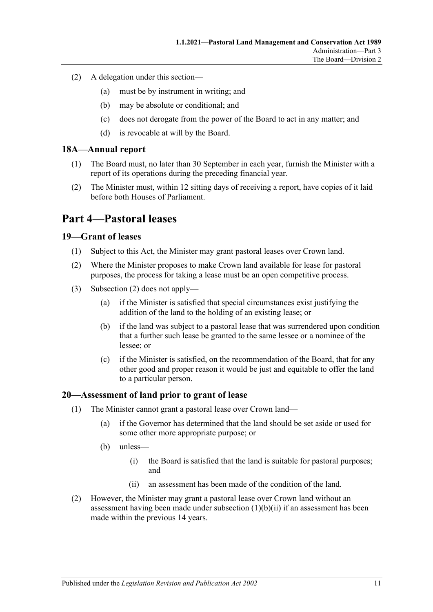- (2) A delegation under this section—
	- (a) must be by instrument in writing; and
	- (b) may be absolute or conditional; and
	- (c) does not derogate from the power of the Board to act in any matter; and
	- (d) is revocable at will by the Board.

### <span id="page-10-0"></span>**18A—Annual report**

- (1) The Board must, no later than 30 September in each year, furnish the Minister with a report of its operations during the preceding financial year.
- (2) The Minister must, within 12 sitting days of receiving a report, have copies of it laid before both Houses of Parliament.

## <span id="page-10-1"></span>**Part 4—Pastoral leases**

### <span id="page-10-2"></span>**19—Grant of leases**

- (1) Subject to this Act, the Minister may grant pastoral leases over Crown land.
- <span id="page-10-4"></span>(2) Where the Minister proposes to make Crown land available for lease for pastoral purposes, the process for taking a lease must be an open competitive process.
- (3) [Subsection](#page-10-4) (2) does not apply—
	- (a) if the Minister is satisfied that special circumstances exist justifying the addition of the land to the holding of an existing lease; or
	- (b) if the land was subject to a pastoral lease that was surrendered upon condition that a further such lease be granted to the same lessee or a nominee of the lessee; or
	- (c) if the Minister is satisfied, on the recommendation of the Board, that for any other good and proper reason it would be just and equitable to offer the land to a particular person.

### <span id="page-10-3"></span>**20—Assessment of land prior to grant of lease**

- (1) The Minister cannot grant a pastoral lease over Crown land—
	- (a) if the Governor has determined that the land should be set aside or used for some other more appropriate purpose; or
	- (b) unless—
		- (i) the Board is satisfied that the land is suitable for pastoral purposes; and
		- (ii) an assessment has been made of the condition of the land.
- <span id="page-10-5"></span>(2) However, the Minister may grant a pastoral lease over Crown land without an assessment having been made under [subsection](#page-10-5)  $(1)(b)(ii)$  if an assessment has been made within the previous 14 years.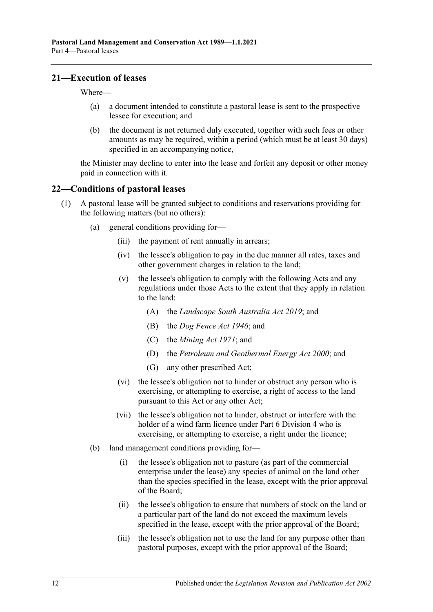#### <span id="page-11-0"></span>**21—Execution of leases**

Where—

- (a) a document intended to constitute a pastoral lease is sent to the prospective lessee for execution; and
- (b) the document is not returned duly executed, together with such fees or other amounts as may be required, within a period (which must be at least 30 days) specified in an accompanying notice,

the Minister may decline to enter into the lease and forfeit any deposit or other money paid in connection with it.

#### <span id="page-11-1"></span>**22—Conditions of pastoral leases**

- <span id="page-11-4"></span><span id="page-11-3"></span><span id="page-11-2"></span>(1) A pastoral lease will be granted subject to conditions and reservations providing for the following matters (but no others):
	- (a) general conditions providing for—
		- (iii) the payment of rent annually in arrears;
		- (iv) the lessee's obligation to pay in the due manner all rates, taxes and other government charges in relation to the land;
		- (v) the lessee's obligation to comply with the following Acts and any regulations under those Acts to the extent that they apply in relation to the land:
			- (A) the *[Landscape South Australia Act](http://www.legislation.sa.gov.au/index.aspx?action=legref&type=act&legtitle=Landscape%20South%20Australia%20Act%202019) 2019*; and
			- (B) the *[Dog Fence Act](http://www.legislation.sa.gov.au/index.aspx?action=legref&type=act&legtitle=Dog%20Fence%20Act%201946) 1946*; and
			- (C) the *[Mining Act](http://www.legislation.sa.gov.au/index.aspx?action=legref&type=act&legtitle=Mining%20Act%201971) 1971*; and
			- (D) the *[Petroleum and Geothermal Energy Act](http://www.legislation.sa.gov.au/index.aspx?action=legref&type=act&legtitle=Petroleum%20and%20Geothermal%20Energy%20Act%202000) 2000*; and
			- (G) any other prescribed Act;
		- (vi) the lessee's obligation not to hinder or obstruct any person who is exercising, or attempting to exercise, a right of access to the land pursuant to this Act or any other Act;
		- (vii) the lessee's obligation not to hinder, obstruct or interfere with the holder of a wind farm licence under [Part 6 Division](#page-32-1) 4 who is exercising, or attempting to exercise, a right under the licence;
	- (b) land management conditions providing for—
		- (i) the lessee's obligation not to pasture (as part of the commercial enterprise under the lease) any species of animal on the land other than the species specified in the lease, except with the prior approval of the Board;
		- (ii) the lessee's obligation to ensure that numbers of stock on the land or a particular part of the land do not exceed the maximum levels specified in the lease, except with the prior approval of the Board;
		- (iii) the lessee's obligation not to use the land for any purpose other than pastoral purposes, except with the prior approval of the Board;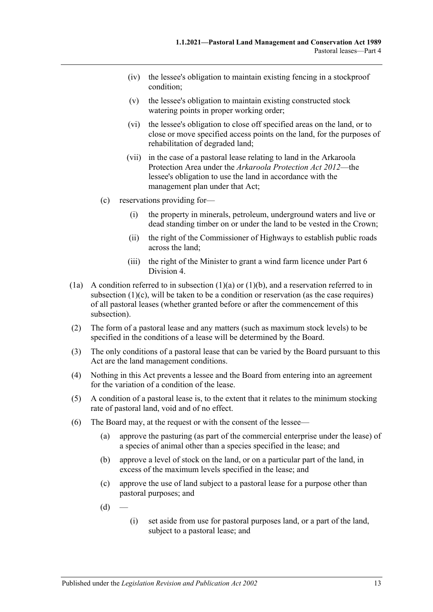- (iv) the lessee's obligation to maintain existing fencing in a stockproof condition;
- (v) the lessee's obligation to maintain existing constructed stock watering points in proper working order;
- (vi) the lessee's obligation to close off specified areas on the land, or to close or move specified access points on the land, for the purposes of rehabilitation of degraded land;
- (vii) in the case of a pastoral lease relating to land in the Arkaroola Protection Area under the *[Arkaroola Protection Act](http://www.legislation.sa.gov.au/index.aspx?action=legref&type=act&legtitle=Arkaroola%20Protection%20Act%202012) 2012*—the lessee's obligation to use the land in accordance with the management plan under that Act;
- <span id="page-12-0"></span>(c) reservations providing for—
	- (i) the property in minerals, petroleum, underground waters and live or dead standing timber on or under the land to be vested in the Crown;
	- (ii) the right of the Commissioner of Highways to establish public roads across the land;
	- (iii) the right of the Minister to grant a wind farm licence under [Part 6](#page-32-1)  [Division](#page-32-1) 4.
- (1a) A condition referred to in [subsection](#page-11-2)  $(1)(a)$  or  $(1)(b)$ , and a reservation referred to in [subsection](#page-12-0)  $(1)(c)$ , will be taken to be a condition or reservation (as the case requires) of all pastoral leases (whether granted before or after the commencement of this subsection).
- (2) The form of a pastoral lease and any matters (such as maximum stock levels) to be specified in the conditions of a lease will be determined by the Board.
- (3) The only conditions of a pastoral lease that can be varied by the Board pursuant to this Act are the land management conditions.
- (4) Nothing in this Act prevents a lessee and the Board from entering into an agreement for the variation of a condition of the lease.
- (5) A condition of a pastoral lease is, to the extent that it relates to the minimum stocking rate of pastoral land, void and of no effect.
- <span id="page-12-1"></span>(6) The Board may, at the request or with the consent of the lessee—
	- (a) approve the pasturing (as part of the commercial enterprise under the lease) of a species of animal other than a species specified in the lease; and
	- (b) approve a level of stock on the land, or on a particular part of the land, in excess of the maximum levels specified in the lease; and
	- (c) approve the use of land subject to a pastoral lease for a purpose other than pastoral purposes; and
	- $(d)$
- (i) set aside from use for pastoral purposes land, or a part of the land, subject to a pastoral lease; and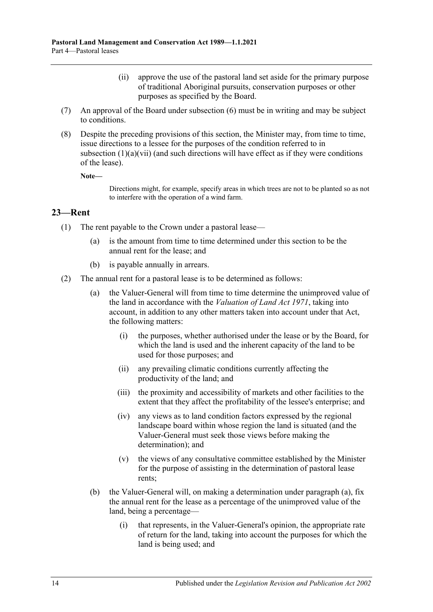- (ii) approve the use of the pastoral land set aside for the primary purpose of traditional Aboriginal pursuits, conservation purposes or other purposes as specified by the Board.
- (7) An approval of the Board under [subsection](#page-12-1) (6) must be in writing and may be subject to conditions.
- (8) Despite the preceding provisions of this section, the Minister may, from time to time, issue directions to a lessee for the purposes of the condition referred to in [subsection](#page-11-4)  $(1)(a)(vi)$  (and such directions will have effect as if they were conditions of the lease).

**Note—**

Directions might, for example, specify areas in which trees are not to be planted so as not to interfere with the operation of a wind farm.

### <span id="page-13-0"></span>**23—Rent**

- (1) The rent payable to the Crown under a pastoral lease—
	- (a) is the amount from time to time determined under this section to be the annual rent for the lease; and
	- (b) is payable annually in arrears.
- <span id="page-13-1"></span>(2) The annual rent for a pastoral lease is to be determined as follows:
	- (a) the Valuer-General will from time to time determine the unimproved value of the land in accordance with the *[Valuation of Land Act](http://www.legislation.sa.gov.au/index.aspx?action=legref&type=act&legtitle=Valuation%20of%20Land%20Act%201971) 1971*, taking into account, in addition to any other matters taken into account under that Act, the following matters:
		- (i) the purposes, whether authorised under the lease or by the Board, for which the land is used and the inherent capacity of the land to be used for those purposes; and
		- (ii) any prevailing climatic conditions currently affecting the productivity of the land; and
		- (iii) the proximity and accessibility of markets and other facilities to the extent that they affect the profitability of the lessee's enterprise; and
		- (iv) any views as to land condition factors expressed by the regional landscape board within whose region the land is situated (and the Valuer-General must seek those views before making the determination); and
		- (v) the views of any consultative committee established by the Minister for the purpose of assisting in the determination of pastoral lease rents;
	- (b) the Valuer-General will, on making a determination under [paragraph](#page-13-1) (a), fix the annual rent for the lease as a percentage of the unimproved value of the land, being a percentage—
		- (i) that represents, in the Valuer-General's opinion, the appropriate rate of return for the land, taking into account the purposes for which the land is being used; and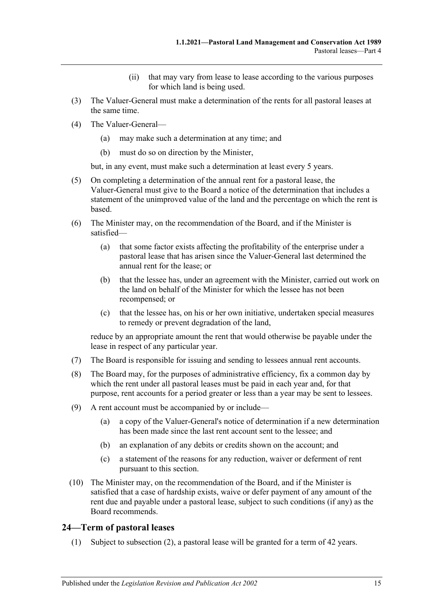- (ii) that may vary from lease to lease according to the various purposes for which land is being used.
- (3) The Valuer-General must make a determination of the rents for all pastoral leases at the same time.
- (4) The Valuer-General—
	- (a) may make such a determination at any time; and
	- (b) must do so on direction by the Minister,

but, in any event, must make such a determination at least every 5 years.

- (5) On completing a determination of the annual rent for a pastoral lease, the Valuer-General must give to the Board a notice of the determination that includes a statement of the unimproved value of the land and the percentage on which the rent is based.
- (6) The Minister may, on the recommendation of the Board, and if the Minister is satisfied—
	- (a) that some factor exists affecting the profitability of the enterprise under a pastoral lease that has arisen since the Valuer-General last determined the annual rent for the lease; or
	- (b) that the lessee has, under an agreement with the Minister, carried out work on the land on behalf of the Minister for which the lessee has not been recompensed; or
	- (c) that the lessee has, on his or her own initiative, undertaken special measures to remedy or prevent degradation of the land,

reduce by an appropriate amount the rent that would otherwise be payable under the lease in respect of any particular year.

- (7) The Board is responsible for issuing and sending to lessees annual rent accounts.
- (8) The Board may, for the purposes of administrative efficiency, fix a common day by which the rent under all pastoral leases must be paid in each year and, for that purpose, rent accounts for a period greater or less than a year may be sent to lessees.
- (9) A rent account must be accompanied by or include—
	- (a) a copy of the Valuer-General's notice of determination if a new determination has been made since the last rent account sent to the lessee; and
	- (b) an explanation of any debits or credits shown on the account; and
	- (c) a statement of the reasons for any reduction, waiver or deferment of rent pursuant to this section.
- (10) The Minister may, on the recommendation of the Board, and if the Minister is satisfied that a case of hardship exists, waive or defer payment of any amount of the rent due and payable under a pastoral lease, subject to such conditions (if any) as the Board recommends.

### <span id="page-14-0"></span>**24—Term of pastoral leases**

(1) Subject to [subsection](#page-15-2) (2), a pastoral lease will be granted for a term of 42 years.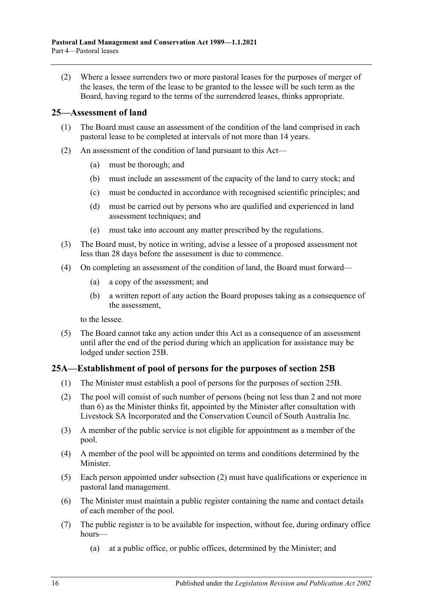<span id="page-15-2"></span>(2) Where a lessee surrenders two or more pastoral leases for the purposes of merger of the leases, the term of the lease to be granted to the lessee will be such term as the Board, having regard to the terms of the surrendered leases, thinks appropriate.

### <span id="page-15-0"></span>**25—Assessment of land**

- (1) The Board must cause an assessment of the condition of the land comprised in each pastoral lease to be completed at intervals of not more than 14 years.
- (2) An assessment of the condition of land pursuant to this Act—
	- (a) must be thorough; and
	- (b) must include an assessment of the capacity of the land to carry stock; and
	- (c) must be conducted in accordance with recognised scientific principles; and
	- (d) must be carried out by persons who are qualified and experienced in land assessment techniques; and
	- (e) must take into account any matter prescribed by the regulations.
- (3) The Board must, by notice in writing, advise a lessee of a proposed assessment not less than 28 days before the assessment is due to commence.
- <span id="page-15-4"></span>(4) On completing an assessment of the condition of land, the Board must forward—
	- (a) a copy of the assessment; and
	- (b) a written report of any action the Board proposes taking as a consequence of the assessment,

to the lessee.

(5) The Board cannot take any action under this Act as a consequence of an assessment until after the end of the period during which an application for assistance may be lodged under [section](#page-16-0) 25B.

### <span id="page-15-1"></span>**25A—Establishment of pool of persons for the purposes of [section](#page-16-0) 25B**

- (1) The Minister must establish a pool of persons for the purposes of [section](#page-16-0) 25B.
- <span id="page-15-3"></span>(2) The pool will consist of such number of persons (being not less than 2 and not more than 6) as the Minister thinks fit, appointed by the Minister after consultation with Livestock SA Incorporated and the Conservation Council of South Australia Inc.
- (3) A member of the public service is not eligible for appointment as a member of the pool.
- (4) A member of the pool will be appointed on terms and conditions determined by the Minister.
- (5) Each person appointed under [subsection](#page-15-3) (2) must have qualifications or experience in pastoral land management.
- (6) The Minister must maintain a public register containing the name and contact details of each member of the pool.
- (7) The public register is to be available for inspection, without fee, during ordinary office hours—
	- (a) at a public office, or public offices, determined by the Minister; and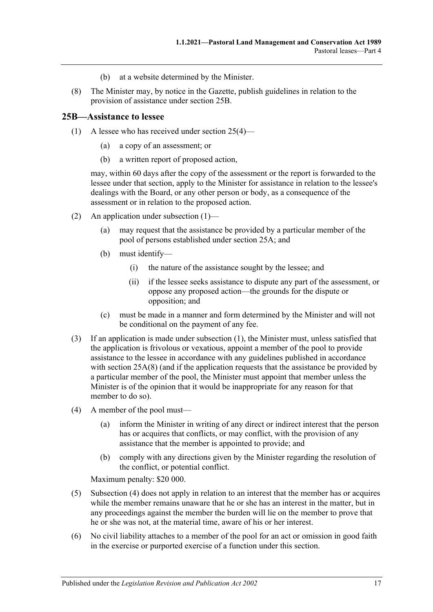- (b) at a website determined by the Minister.
- <span id="page-16-2"></span>(8) The Minister may, by notice in the Gazette, publish guidelines in relation to the provision of assistance under [section](#page-16-0) 25B.

#### <span id="page-16-1"></span><span id="page-16-0"></span>**25B—Assistance to lessee**

- (1) A lessee who has received under [section](#page-15-4) 25(4)—
	- (a) a copy of an assessment; or
	- (b) a written report of proposed action,

may, within 60 days after the copy of the assessment or the report is forwarded to the lessee under that section, apply to the Minister for assistance in relation to the lessee's dealings with the Board, or any other person or body, as a consequence of the assessment or in relation to the proposed action.

- (2) An application under [subsection](#page-16-1) (1)—
	- (a) may request that the assistance be provided by a particular member of the pool of persons established under [section](#page-15-1) 25A; and
	- (b) must identify—
		- (i) the nature of the assistance sought by the lessee; and
		- (ii) if the lessee seeks assistance to dispute any part of the assessment, or oppose any proposed action—the grounds for the dispute or opposition; and
	- (c) must be made in a manner and form determined by the Minister and will not be conditional on the payment of any fee.
- (3) If an application is made under [subsection](#page-16-1) (1), the Minister must, unless satisfied that the application is frivolous or vexatious, appoint a member of the pool to provide assistance to the lessee in accordance with any guidelines published in accordance with [section](#page-16-2) 25A(8) (and if the application requests that the assistance be provided by a particular member of the pool, the Minister must appoint that member unless the Minister is of the opinion that it would be inappropriate for any reason for that member to do so).
- <span id="page-16-3"></span>(4) A member of the pool must—
	- (a) inform the Minister in writing of any direct or indirect interest that the person has or acquires that conflicts, or may conflict, with the provision of any assistance that the member is appointed to provide; and
	- (b) comply with any directions given by the Minister regarding the resolution of the conflict, or potential conflict.

Maximum penalty: \$20 000.

- (5) [Subsection](#page-16-3) (4) does not apply in relation to an interest that the member has or acquires while the member remains unaware that he or she has an interest in the matter, but in any proceedings against the member the burden will lie on the member to prove that he or she was not, at the material time, aware of his or her interest.
- (6) No civil liability attaches to a member of the pool for an act or omission in good faith in the exercise or purported exercise of a function under this section.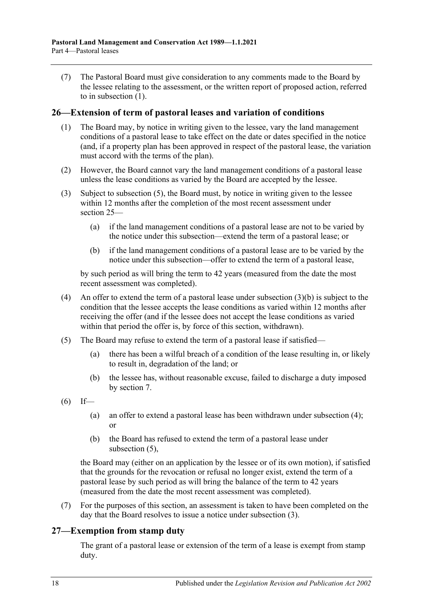(7) The Pastoral Board must give consideration to any comments made to the Board by the lessee relating to the assessment, or the written report of proposed action, referred to in [subsection](#page-16-1) (1).

#### <span id="page-17-0"></span>**26—Extension of term of pastoral leases and variation of conditions**

- (1) The Board may, by notice in writing given to the lessee, vary the land management conditions of a pastoral lease to take effect on the date or dates specified in the notice (and, if a property plan has been approved in respect of the pastoral lease, the variation must accord with the terms of the plan).
- (2) However, the Board cannot vary the land management conditions of a pastoral lease unless the lease conditions as varied by the Board are accepted by the lessee.
- <span id="page-17-5"></span>(3) Subject to [subsection](#page-17-2) (5), the Board must, by notice in writing given to the lessee within 12 months after the completion of the most recent assessment under [section](#page-15-0) 25—
	- (a) if the land management conditions of a pastoral lease are not to be varied by the notice under this subsection—extend the term of a pastoral lease; or
	- (b) if the land management conditions of a pastoral lease are to be varied by the notice under this subsection—offer to extend the term of a pastoral lease,

<span id="page-17-3"></span>by such period as will bring the term to 42 years (measured from the date the most recent assessment was completed).

- <span id="page-17-4"></span>(4) An offer to extend the term of a pastoral lease under [subsection](#page-17-3)  $(3)(b)$  is subject to the condition that the lessee accepts the lease conditions as varied within 12 months after receiving the offer (and if the lessee does not accept the lease conditions as varied within that period the offer is, by force of this section, withdrawn).
- <span id="page-17-2"></span>(5) The Board may refuse to extend the term of a pastoral lease if satisfied—
	- (a) there has been a wilful breach of a condition of the lease resulting in, or likely to result in, degradation of the land; or
	- (b) the lessee has, without reasonable excuse, failed to discharge a duty imposed by [section](#page-5-1) 7.
- $(6)$  If—
	- (a) an offer to extend a pastoral lease has been withdrawn under [subsection](#page-17-4) (4); or
	- (b) the Board has refused to extend the term of a pastoral lease under [subsection](#page-17-2) (5),

the Board may (either on an application by the lessee or of its own motion), if satisfied that the grounds for the revocation or refusal no longer exist, extend the term of a pastoral lease by such period as will bring the balance of the term to 42 years (measured from the date the most recent assessment was completed).

(7) For the purposes of this section, an assessment is taken to have been completed on the day that the Board resolves to issue a notice under [subsection](#page-17-5) (3).

### <span id="page-17-1"></span>**27—Exemption from stamp duty**

The grant of a pastoral lease or extension of the term of a lease is exempt from stamp duty.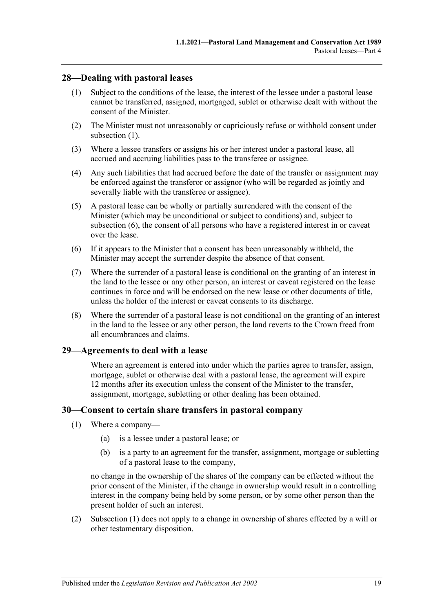### <span id="page-18-3"></span><span id="page-18-0"></span>**28—Dealing with pastoral leases**

- (1) Subject to the conditions of the lease, the interest of the lessee under a pastoral lease cannot be transferred, assigned, mortgaged, sublet or otherwise dealt with without the consent of the Minister.
- (2) The Minister must not unreasonably or capriciously refuse or withhold consent under [subsection](#page-18-3) (1).
- (3) Where a lessee transfers or assigns his or her interest under a pastoral lease, all accrued and accruing liabilities pass to the transferee or assignee.
- (4) Any such liabilities that had accrued before the date of the transfer or assignment may be enforced against the transferor or assignor (who will be regarded as jointly and severally liable with the transferee or assignee).
- (5) A pastoral lease can be wholly or partially surrendered with the consent of the Minister (which may be unconditional or subject to conditions) and, subject to [subsection](#page-18-4) (6), the consent of all persons who have a registered interest in or caveat over the lease.
- <span id="page-18-4"></span>(6) If it appears to the Minister that a consent has been unreasonably withheld, the Minister may accept the surrender despite the absence of that consent.
- (7) Where the surrender of a pastoral lease is conditional on the granting of an interest in the land to the lessee or any other person, an interest or caveat registered on the lease continues in force and will be endorsed on the new lease or other documents of title, unless the holder of the interest or caveat consents to its discharge.
- (8) Where the surrender of a pastoral lease is not conditional on the granting of an interest in the land to the lessee or any other person, the land reverts to the Crown freed from all encumbrances and claims.

### <span id="page-18-1"></span>**29—Agreements to deal with a lease**

Where an agreement is entered into under which the parties agree to transfer, assign, mortgage, sublet or otherwise deal with a pastoral lease, the agreement will expire 12 months after its execution unless the consent of the Minister to the transfer, assignment, mortgage, subletting or other dealing has been obtained.

#### <span id="page-18-5"></span><span id="page-18-2"></span>**30—Consent to certain share transfers in pastoral company**

- (1) Where a company—
	- (a) is a lessee under a pastoral lease; or
	- (b) is a party to an agreement for the transfer, assignment, mortgage or subletting of a pastoral lease to the company,

no change in the ownership of the shares of the company can be effected without the prior consent of the Minister, if the change in ownership would result in a controlling interest in the company being held by some person, or by some other person than the present holder of such an interest.

(2) [Subsection](#page-18-5) (1) does not apply to a change in ownership of shares effected by a will or other testamentary disposition.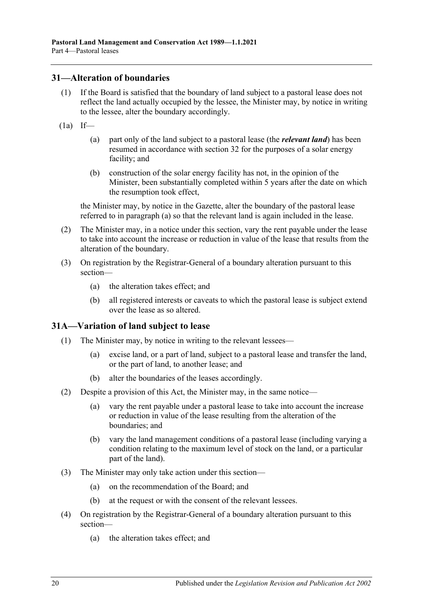#### <span id="page-19-0"></span>**31—Alteration of boundaries**

- (1) If the Board is satisfied that the boundary of land subject to a pastoral lease does not reflect the land actually occupied by the lessee, the Minister may, by notice in writing to the lessee, alter the boundary accordingly.
- <span id="page-19-2"></span> $(1a)$  If—
	- (a) part only of the land subject to a pastoral lease (the *relevant land*) has been resumed in accordance with [section](#page-20-0) 32 for the purposes of a solar energy facility; and
	- (b) construction of the solar energy facility has not, in the opinion of the Minister, been substantially completed within 5 years after the date on which the resumption took effect,

the Minister may, by notice in the Gazette, alter the boundary of the pastoral lease referred to in [paragraph](#page-19-2) (a) so that the relevant land is again included in the lease.

- (2) The Minister may, in a notice under this section, vary the rent payable under the lease to take into account the increase or reduction in value of the lease that results from the alteration of the boundary.
- (3) On registration by the Registrar-General of a boundary alteration pursuant to this section—
	- (a) the alteration takes effect; and
	- (b) all registered interests or caveats to which the pastoral lease is subject extend over the lease as so altered.

### <span id="page-19-1"></span>**31A—Variation of land subject to lease**

- (1) The Minister may, by notice in writing to the relevant lessees—
	- (a) excise land, or a part of land, subject to a pastoral lease and transfer the land, or the part of land, to another lease; and
	- (b) alter the boundaries of the leases accordingly.
- (2) Despite a provision of this Act, the Minister may, in the same notice—
	- (a) vary the rent payable under a pastoral lease to take into account the increase or reduction in value of the lease resulting from the alteration of the boundaries; and
	- (b) vary the land management conditions of a pastoral lease (including varying a condition relating to the maximum level of stock on the land, or a particular part of the land).
- (3) The Minister may only take action under this section—
	- (a) on the recommendation of the Board; and
	- (b) at the request or with the consent of the relevant lessees.
- (4) On registration by the Registrar-General of a boundary alteration pursuant to this section—
	- (a) the alteration takes effect; and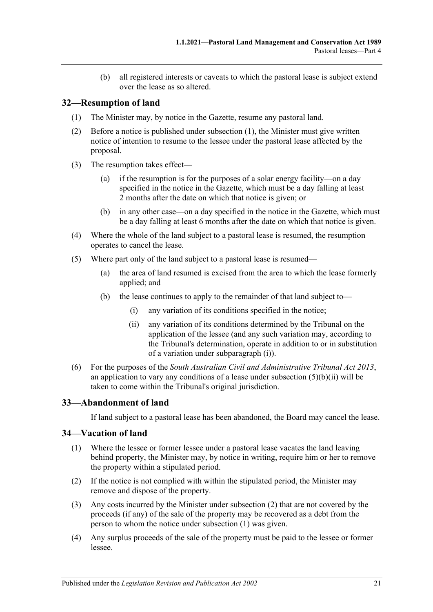(b) all registered interests or caveats to which the pastoral lease is subject extend over the lease as so altered.

## <span id="page-20-3"></span><span id="page-20-0"></span>**32—Resumption of land**

- (1) The Minister may, by notice in the Gazette, resume any pastoral land.
- (2) Before a notice is published under [subsection](#page-20-3) (1), the Minister must give written notice of intention to resume to the lessee under the pastoral lease affected by the proposal.
- (3) The resumption takes effect—
	- (a) if the resumption is for the purposes of a solar energy facility—on a day specified in the notice in the Gazette, which must be a day falling at least 2 months after the date on which that notice is given; or
	- (b) in any other case—on a day specified in the notice in the Gazette, which must be a day falling at least 6 months after the date on which that notice is given.
- (4) Where the whole of the land subject to a pastoral lease is resumed, the resumption operates to cancel the lease.
- <span id="page-20-4"></span>(5) Where part only of the land subject to a pastoral lease is resumed—
	- (a) the area of land resumed is excised from the area to which the lease formerly applied; and
	- (b) the lease continues to apply to the remainder of that land subject to—
		- (i) any variation of its conditions specified in the notice;
		- (ii) any variation of its conditions determined by the Tribunal on the application of the lessee (and any such variation may, according to the Tribunal's determination, operate in addition to or in substitution of a variation under [subparagraph](#page-20-4) (i)).
- <span id="page-20-5"></span>(6) For the purposes of the *[South Australian Civil and Administrative Tribunal Act](http://www.legislation.sa.gov.au/index.aspx?action=legref&type=act&legtitle=South%20Australian%20Civil%20and%20Administrative%20Tribunal%20Act%202013) 2013*, an application to vary any conditions of a lease under [subsection](#page-20-5)  $(5)(b)(ii)$  will be taken to come within the Tribunal's original jurisdiction.

### <span id="page-20-1"></span>**33—Abandonment of land**

If land subject to a pastoral lease has been abandoned, the Board may cancel the lease.

### <span id="page-20-7"></span><span id="page-20-2"></span>**34—Vacation of land**

- (1) Where the lessee or former lessee under a pastoral lease vacates the land leaving behind property, the Minister may, by notice in writing, require him or her to remove the property within a stipulated period.
- <span id="page-20-6"></span>(2) If the notice is not complied with within the stipulated period, the Minister may remove and dispose of the property.
- (3) Any costs incurred by the Minister under [subsection](#page-20-6) (2) that are not covered by the proceeds (if any) of the sale of the property may be recovered as a debt from the person to whom the notice under [subsection](#page-20-7) (1) was given.
- (4) Any surplus proceeds of the sale of the property must be paid to the lessee or former lessee.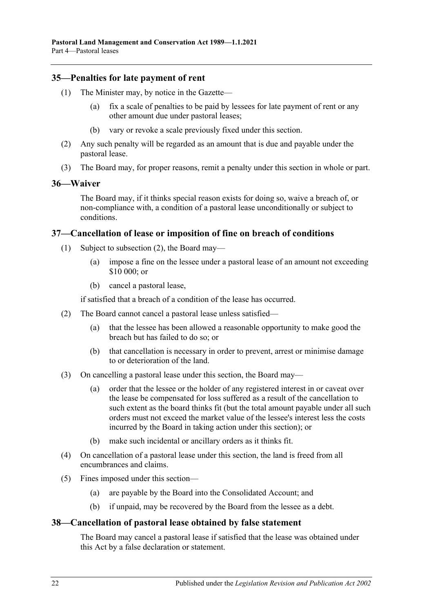#### <span id="page-21-0"></span>**35—Penalties for late payment of rent**

- (1) The Minister may, by notice in the Gazette—
	- (a) fix a scale of penalties to be paid by lessees for late payment of rent or any other amount due under pastoral leases;
	- (b) vary or revoke a scale previously fixed under this section.
- (2) Any such penalty will be regarded as an amount that is due and payable under the pastoral lease.
- (3) The Board may, for proper reasons, remit a penalty under this section in whole or part.

#### <span id="page-21-1"></span>**36—Waiver**

The Board may, if it thinks special reason exists for doing so, waive a breach of, or non-compliance with, a condition of a pastoral lease unconditionally or subject to conditions.

#### <span id="page-21-2"></span>**37—Cancellation of lease or imposition of fine on breach of conditions**

- (1) Subject to [subsection](#page-21-4) (2), the Board may—
	- (a) impose a fine on the lessee under a pastoral lease of an amount not exceeding \$10 000; or
	- (b) cancel a pastoral lease,

if satisfied that a breach of a condition of the lease has occurred.

- <span id="page-21-4"></span>(2) The Board cannot cancel a pastoral lease unless satisfied—
	- (a) that the lessee has been allowed a reasonable opportunity to make good the breach but has failed to do so; or
	- (b) that cancellation is necessary in order to prevent, arrest or minimise damage to or deterioration of the land.
- (3) On cancelling a pastoral lease under this section, the Board may—
	- (a) order that the lessee or the holder of any registered interest in or caveat over the lease be compensated for loss suffered as a result of the cancellation to such extent as the board thinks fit (but the total amount payable under all such orders must not exceed the market value of the lessee's interest less the costs incurred by the Board in taking action under this section); or
	- (b) make such incidental or ancillary orders as it thinks fit.
- (4) On cancellation of a pastoral lease under this section, the land is freed from all encumbrances and claims.
- (5) Fines imposed under this section—
	- (a) are payable by the Board into the Consolidated Account; and
	- (b) if unpaid, may be recovered by the Board from the lessee as a debt.

#### <span id="page-21-3"></span>**38—Cancellation of pastoral lease obtained by false statement**

The Board may cancel a pastoral lease if satisfied that the lease was obtained under this Act by a false declaration or statement.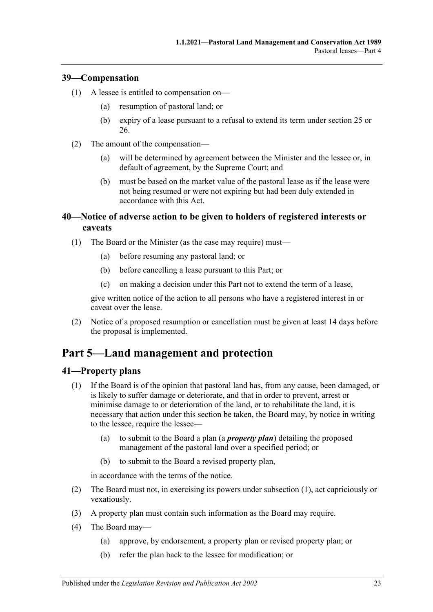### <span id="page-22-0"></span>**39—Compensation**

- (1) A lessee is entitled to compensation on—
	- (a) resumption of pastoral land; or
	- (b) expiry of a lease pursuant to a refusal to extend its term under [section](#page-15-0) 25 or [26.](#page-17-0)
- (2) The amount of the compensation—
	- (a) will be determined by agreement between the Minister and the lessee or, in default of agreement, by the Supreme Court; and
	- (b) must be based on the market value of the pastoral lease as if the lease were not being resumed or were not expiring but had been duly extended in accordance with this Act.

## <span id="page-22-1"></span>**40—Notice of adverse action to be given to holders of registered interests or caveats**

- (1) The Board or the Minister (as the case may require) must—
	- (a) before resuming any pastoral land; or
	- (b) before cancelling a lease pursuant to this Part; or
	- (c) on making a decision under this Part not to extend the term of a lease,

give written notice of the action to all persons who have a registered interest in or caveat over the lease.

(2) Notice of a proposed resumption or cancellation must be given at least 14 days before the proposal is implemented.

## <span id="page-22-2"></span>**Part 5—Land management and protection**

### <span id="page-22-4"></span><span id="page-22-3"></span>**41—Property plans**

- (1) If the Board is of the opinion that pastoral land has, from any cause, been damaged, or is likely to suffer damage or deteriorate, and that in order to prevent, arrest or minimise damage to or deterioration of the land, or to rehabilitate the land, it is necessary that action under this section be taken, the Board may, by notice in writing to the lessee, require the lessee—
	- (a) to submit to the Board a plan (a *property plan*) detailing the proposed management of the pastoral land over a specified period; or
	- (b) to submit to the Board a revised property plan,

in accordance with the terms of the notice.

- (2) The Board must not, in exercising its powers under [subsection](#page-22-4) (1), act capriciously or vexatiously.
- (3) A property plan must contain such information as the Board may require.
- <span id="page-22-5"></span>(4) The Board may—
	- (a) approve, by endorsement, a property plan or revised property plan; or
	- (b) refer the plan back to the lessee for modification; or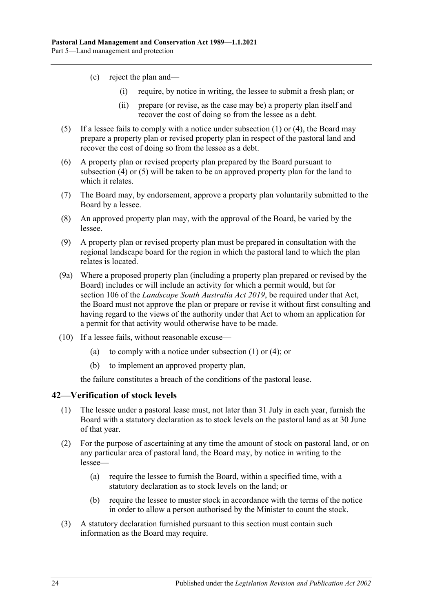- (c) reject the plan and—
	- (i) require, by notice in writing, the lessee to submit a fresh plan; or
	- (ii) prepare (or revise, as the case may be) a property plan itself and recover the cost of doing so from the lessee as a debt.
- <span id="page-23-1"></span>(5) If a lessee fails to comply with a notice under [subsection](#page-22-4) (1) or [\(4\),](#page-22-5) the Board may prepare a property plan or revised property plan in respect of the pastoral land and recover the cost of doing so from the lessee as a debt.
- (6) A property plan or revised property plan prepared by the Board pursuant to [subsection](#page-22-5) (4) or [\(5\)](#page-23-1) will be taken to be an approved property plan for the land to which it relates.
- (7) The Board may, by endorsement, approve a property plan voluntarily submitted to the Board by a lessee.
- (8) An approved property plan may, with the approval of the Board, be varied by the lessee.
- (9) A property plan or revised property plan must be prepared in consultation with the regional landscape board for the region in which the pastoral land to which the plan relates is located.
- (9a) Where a proposed property plan (including a property plan prepared or revised by the Board) includes or will include an activity for which a permit would, but for section 106 of the *[Landscape South Australia Act](http://www.legislation.sa.gov.au/index.aspx?action=legref&type=act&legtitle=Landscape%20South%20Australia%20Act%202019) 2019*, be required under that Act, the Board must not approve the plan or prepare or revise it without first consulting and having regard to the views of the authority under that Act to whom an application for a permit for that activity would otherwise have to be made.
- (10) If a lessee fails, without reasonable excuse—
	- (a) to comply with a notice under [subsection](#page-22-4) (1) or [\(4\);](#page-22-5) or
	- (b) to implement an approved property plan,

the failure constitutes a breach of the conditions of the pastoral lease.

#### <span id="page-23-0"></span>**42—Verification of stock levels**

- (1) The lessee under a pastoral lease must, not later than 31 July in each year, furnish the Board with a statutory declaration as to stock levels on the pastoral land as at 30 June of that year.
- (2) For the purpose of ascertaining at any time the amount of stock on pastoral land, or on any particular area of pastoral land, the Board may, by notice in writing to the lessee—
	- (a) require the lessee to furnish the Board, within a specified time, with a statutory declaration as to stock levels on the land; or
	- (b) require the lessee to muster stock in accordance with the terms of the notice in order to allow a person authorised by the Minister to count the stock.
- <span id="page-23-2"></span>(3) A statutory declaration furnished pursuant to this section must contain such information as the Board may require.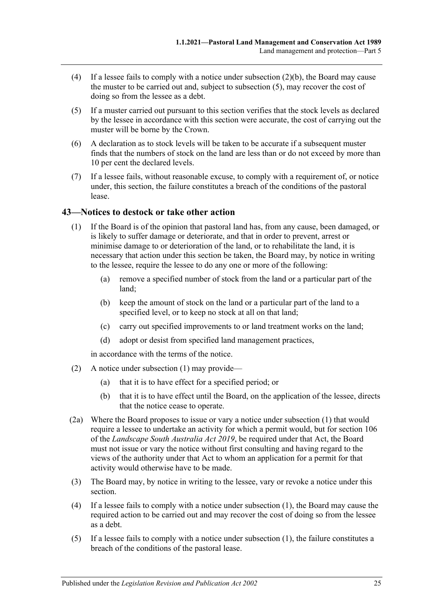- (4) If a lessee fails to comply with a notice under [subsection](#page-23-2)  $(2)(b)$ , the Board may cause the muster to be carried out and, subject to [subsection](#page-24-1) (5), may recover the cost of doing so from the lessee as a debt.
- <span id="page-24-1"></span>(5) If a muster carried out pursuant to this section verifies that the stock levels as declared by the lessee in accordance with this section were accurate, the cost of carrying out the muster will be borne by the Crown.
- (6) A declaration as to stock levels will be taken to be accurate if a subsequent muster finds that the numbers of stock on the land are less than or do not exceed by more than 10 per cent the declared levels.
- (7) If a lessee fails, without reasonable excuse, to comply with a requirement of, or notice under, this section, the failure constitutes a breach of the conditions of the pastoral lease.

### <span id="page-24-2"></span><span id="page-24-0"></span>**43—Notices to destock or take other action**

- (1) If the Board is of the opinion that pastoral land has, from any cause, been damaged, or is likely to suffer damage or deteriorate, and that in order to prevent, arrest or minimise damage to or deterioration of the land, or to rehabilitate the land, it is necessary that action under this section be taken, the Board may, by notice in writing to the lessee, require the lessee to do any one or more of the following:
	- (a) remove a specified number of stock from the land or a particular part of the land;
	- (b) keep the amount of stock on the land or a particular part of the land to a specified level, or to keep no stock at all on that land;
	- (c) carry out specified improvements to or land treatment works on the land;
	- (d) adopt or desist from specified land management practices,

in accordance with the terms of the notice.

- (2) A notice under [subsection](#page-24-2) (1) may provide—
	- (a) that it is to have effect for a specified period; or
	- (b) that it is to have effect until the Board, on the application of the lessee, directs that the notice cease to operate.
- (2a) Where the Board proposes to issue or vary a notice under [subsection](#page-24-2) (1) that would require a lessee to undertake an activity for which a permit would, but for section 106 of the *[Landscape South Australia Act](http://www.legislation.sa.gov.au/index.aspx?action=legref&type=act&legtitle=Landscape%20South%20Australia%20Act%202019) 2019*, be required under that Act, the Board must not issue or vary the notice without first consulting and having regard to the views of the authority under that Act to whom an application for a permit for that activity would otherwise have to be made.
- (3) The Board may, by notice in writing to the lessee, vary or revoke a notice under this section.
- (4) If a lessee fails to comply with a notice under [subsection](#page-24-2) (1), the Board may cause the required action to be carried out and may recover the cost of doing so from the lessee as a debt.
- (5) If a lessee fails to comply with a notice under [subsection](#page-24-2) (1), the failure constitutes a breach of the conditions of the pastoral lease.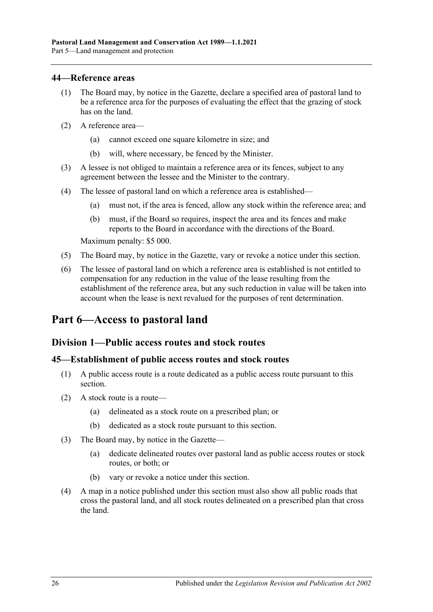#### <span id="page-25-0"></span>**44—Reference areas**

- (1) The Board may, by notice in the Gazette, declare a specified area of pastoral land to be a reference area for the purposes of evaluating the effect that the grazing of stock has on the land.
- (2) A reference area—
	- (a) cannot exceed one square kilometre in size; and
	- (b) will, where necessary, be fenced by the Minister.
- (3) A lessee is not obliged to maintain a reference area or its fences, subject to any agreement between the lessee and the Minister to the contrary.
- (4) The lessee of pastoral land on which a reference area is established—
	- (a) must not, if the area is fenced, allow any stock within the reference area; and
	- (b) must, if the Board so requires, inspect the area and its fences and make reports to the Board in accordance with the directions of the Board.

Maximum penalty: \$5 000.

- (5) The Board may, by notice in the Gazette, vary or revoke a notice under this section.
- (6) The lessee of pastoral land on which a reference area is established is not entitled to compensation for any reduction in the value of the lease resulting from the establishment of the reference area, but any such reduction in value will be taken into account when the lease is next revalued for the purposes of rent determination.

## <span id="page-25-1"></span>**Part 6—Access to pastoral land**

### <span id="page-25-2"></span>**Division 1—Public access routes and stock routes**

#### <span id="page-25-3"></span>**45—Establishment of public access routes and stock routes**

- (1) A public access route is a route dedicated as a public access route pursuant to this section.
- (2) A stock route is a route—
	- (a) delineated as a stock route on a prescribed plan; or
	- (b) dedicated as a stock route pursuant to this section.
- (3) The Board may, by notice in the Gazette—
	- (a) dedicate delineated routes over pastoral land as public access routes or stock routes, or both; or
	- (b) vary or revoke a notice under this section.
- (4) A map in a notice published under this section must also show all public roads that cross the pastoral land, and all stock routes delineated on a prescribed plan that cross the land.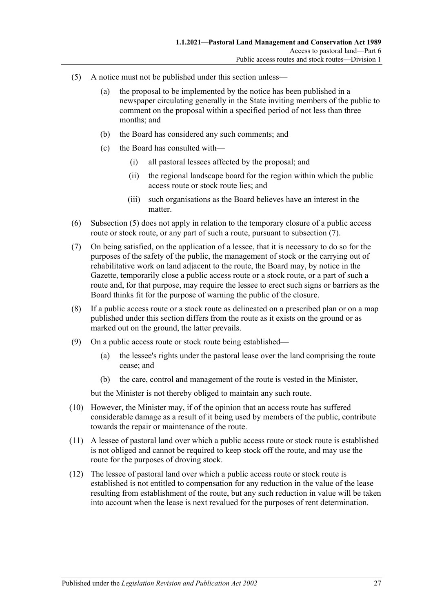- <span id="page-26-0"></span>(5) A notice must not be published under this section unless—
	- (a) the proposal to be implemented by the notice has been published in a newspaper circulating generally in the State inviting members of the public to comment on the proposal within a specified period of not less than three months; and
	- (b) the Board has considered any such comments; and
	- (c) the Board has consulted with—
		- (i) all pastoral lessees affected by the proposal; and
		- (ii) the regional landscape board for the region within which the public access route or stock route lies; and
		- (iii) such organisations as the Board believes have an interest in the matter.
- (6) [Subsection](#page-26-0) (5) does not apply in relation to the temporary closure of a public access route or stock route, or any part of such a route, pursuant to [subsection](#page-26-1) (7).
- <span id="page-26-1"></span>(7) On being satisfied, on the application of a lessee, that it is necessary to do so for the purposes of the safety of the public, the management of stock or the carrying out of rehabilitative work on land adjacent to the route, the Board may, by notice in the Gazette, temporarily close a public access route or a stock route, or a part of such a route and, for that purpose, may require the lessee to erect such signs or barriers as the Board thinks fit for the purpose of warning the public of the closure.
- (8) If a public access route or a stock route as delineated on a prescribed plan or on a map published under this section differs from the route as it exists on the ground or as marked out on the ground, the latter prevails.
- (9) On a public access route or stock route being established—
	- (a) the lessee's rights under the pastoral lease over the land comprising the route cease; and
	- (b) the care, control and management of the route is vested in the Minister,

but the Minister is not thereby obliged to maintain any such route.

- (10) However, the Minister may, if of the opinion that an access route has suffered considerable damage as a result of it being used by members of the public, contribute towards the repair or maintenance of the route.
- (11) A lessee of pastoral land over which a public access route or stock route is established is not obliged and cannot be required to keep stock off the route, and may use the route for the purposes of droving stock.
- (12) The lessee of pastoral land over which a public access route or stock route is established is not entitled to compensation for any reduction in the value of the lease resulting from establishment of the route, but any such reduction in value will be taken into account when the lease is next revalued for the purposes of rent determination.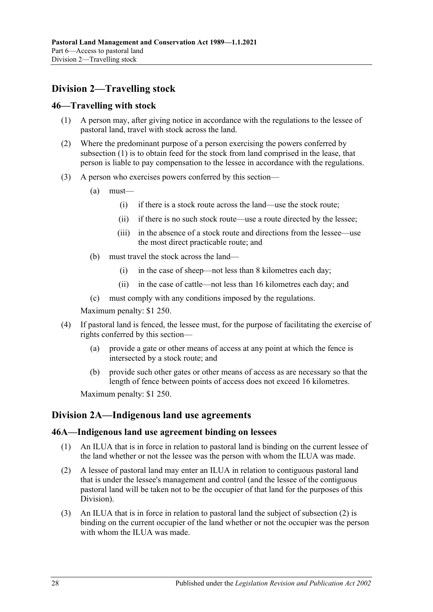## <span id="page-27-0"></span>**Division 2—Travelling stock**

#### <span id="page-27-4"></span><span id="page-27-1"></span>**46—Travelling with stock**

- (1) A person may, after giving notice in accordance with the regulations to the lessee of pastoral land, travel with stock across the land.
- (2) Where the predominant purpose of a person exercising the powers conferred by [subsection](#page-27-4) (1) is to obtain feed for the stock from land comprised in the lease, that person is liable to pay compensation to the lessee in accordance with the regulations.
- (3) A person who exercises powers conferred by this section—
	- (a) must—
		- (i) if there is a stock route across the land—use the stock route;
		- (ii) if there is no such stock route—use a route directed by the lessee;
		- (iii) in the absence of a stock route and directions from the lessee—use the most direct practicable route; and
	- (b) must travel the stock across the land—
		- (i) in the case of sheep—not less than 8 kilometres each day;
		- (ii) in the case of cattle—not less than 16 kilometres each day; and
	- (c) must comply with any conditions imposed by the regulations.

Maximum penalty: \$1 250.

- (4) If pastoral land is fenced, the lessee must, for the purpose of facilitating the exercise of rights conferred by this section—
	- (a) provide a gate or other means of access at any point at which the fence is intersected by a stock route; and
	- (b) provide such other gates or other means of access as are necessary so that the length of fence between points of access does not exceed 16 kilometres.

Maximum penalty: \$1 250.

### <span id="page-27-2"></span>**Division 2A—Indigenous land use agreements**

#### <span id="page-27-3"></span>**46A—Indigenous land use agreement binding on lessees**

- (1) An ILUA that is in force in relation to pastoral land is binding on the current lessee of the land whether or not the lessee was the person with whom the ILUA was made.
- <span id="page-27-5"></span>(2) A lessee of pastoral land may enter an ILUA in relation to contiguous pastoral land that is under the lessee's management and control (and the lessee of the contiguous pastoral land will be taken not to be the occupier of that land for the purposes of this Division).
- (3) An ILUA that is in force in relation to pastoral land the subject of [subsection](#page-27-5) (2) is binding on the current occupier of the land whether or not the occupier was the person with whom the ILUA was made.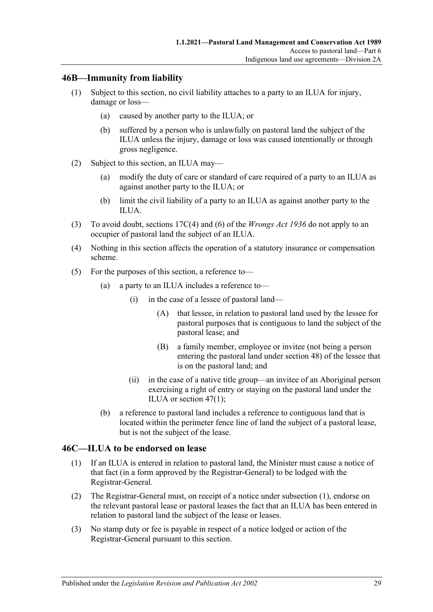## <span id="page-28-0"></span>**46B—Immunity from liability**

- (1) Subject to this section, no civil liability attaches to a party to an ILUA for injury, damage or loss—
	- (a) caused by another party to the ILUA; or
	- (b) suffered by a person who is unlawfully on pastoral land the subject of the ILUA unless the injury, damage or loss was caused intentionally or through gross negligence.
- (2) Subject to this section, an ILUA may—
	- (a) modify the duty of care or standard of care required of a party to an ILUA as against another party to the ILUA; or
	- (b) limit the civil liability of a party to an ILUA as against another party to the ILUA.
- (3) To avoid doubt, sections 17C(4) and (6) of the *[Wrongs Act](http://www.legislation.sa.gov.au/index.aspx?action=legref&type=act&legtitle=Wrongs%20Act%201936) 1936* do not apply to an occupier of pastoral land the subject of an ILUA.
- (4) Nothing in this section affects the operation of a statutory insurance or compensation scheme.
- (5) For the purposes of this section, a reference to—
	- (a) a party to an ILUA includes a reference to—
		- (i) in the case of a lessee of pastoral land—
			- (A) that lessee, in relation to pastoral land used by the lessee for pastoral purposes that is contiguous to land the subject of the pastoral lease; and
			- (B) a family member, employee or invitee (not being a person entering the pastoral land under [section](#page-29-2) 48) of the lessee that is on the pastoral land; and
		- (ii) in the case of a native title group—an invitee of an Aboriginal person exercising a right of entry or staying on the pastoral land under the ILUA or [section](#page-29-3) 47(1);
	- (b) a reference to pastoral land includes a reference to contiguous land that is located within the perimeter fence line of land the subject of a pastoral lease, but is not the subject of the lease.

### <span id="page-28-2"></span><span id="page-28-1"></span>**46C—ILUA to be endorsed on lease**

- (1) If an ILUA is entered in relation to pastoral land, the Minister must cause a notice of that fact (in a form approved by the Registrar-General) to be lodged with the Registrar-General.
- (2) The Registrar-General must, on receipt of a notice under [subsection](#page-28-2) (1), endorse on the relevant pastoral lease or pastoral leases the fact that an ILUA has been entered in relation to pastoral land the subject of the lease or leases.
- (3) No stamp duty or fee is payable in respect of a notice lodged or action of the Registrar-General pursuant to this section.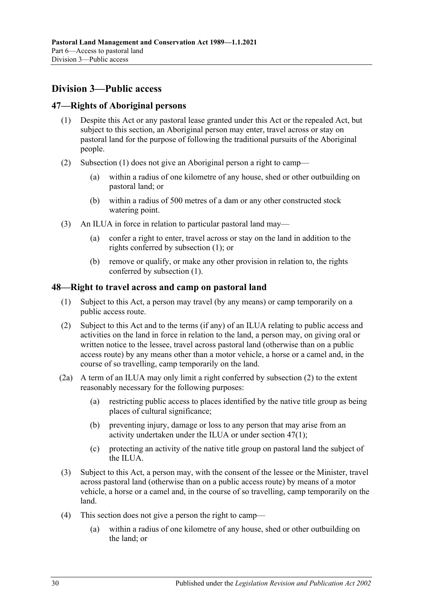## <span id="page-29-0"></span>**Division 3—Public access**

### <span id="page-29-3"></span><span id="page-29-1"></span>**47—Rights of Aboriginal persons**

- (1) Despite this Act or any pastoral lease granted under this Act or the repealed Act, but subject to this section, an Aboriginal person may enter, travel across or stay on pastoral land for the purpose of following the traditional pursuits of the Aboriginal people.
- (2) [Subsection](#page-29-3) (1) does not give an Aboriginal person a right to camp—
	- (a) within a radius of one kilometre of any house, shed or other outbuilding on pastoral land; or
	- (b) within a radius of 500 metres of a dam or any other constructed stock watering point.
- (3) An ILUA in force in relation to particular pastoral land may—
	- (a) confer a right to enter, travel across or stay on the land in addition to the rights conferred by [subsection](#page-29-3) (1); or
	- (b) remove or qualify, or make any other provision in relation to, the rights conferred by [subsection](#page-29-3) (1).

### <span id="page-29-2"></span>**48—Right to travel across and camp on pastoral land**

- (1) Subject to this Act, a person may travel (by any means) or camp temporarily on a public access route.
- <span id="page-29-4"></span>(2) Subject to this Act and to the terms (if any) of an ILUA relating to public access and activities on the land in force in relation to the land, a person may, on giving oral or written notice to the lessee, travel across pastoral land (otherwise than on a public access route) by any means other than a motor vehicle, a horse or a camel and, in the course of so travelling, camp temporarily on the land.
- <span id="page-29-6"></span>(2a) A term of an ILUA may only limit a right conferred by [subsection](#page-29-4) (2) to the extent reasonably necessary for the following purposes:
	- (a) restricting public access to places identified by the native title group as being places of cultural significance;
	- (b) preventing injury, damage or loss to any person that may arise from an activity undertaken under the ILUA or under [section](#page-29-3) 47(1);
	- (c) protecting an activity of the native title group on pastoral land the subject of the ILUA.
- <span id="page-29-5"></span>(3) Subject to this Act, a person may, with the consent of the lessee or the Minister, travel across pastoral land (otherwise than on a public access route) by means of a motor vehicle, a horse or a camel and, in the course of so travelling, camp temporarily on the land.
- (4) This section does not give a person the right to camp—
	- (a) within a radius of one kilometre of any house, shed or other outbuilding on the land; or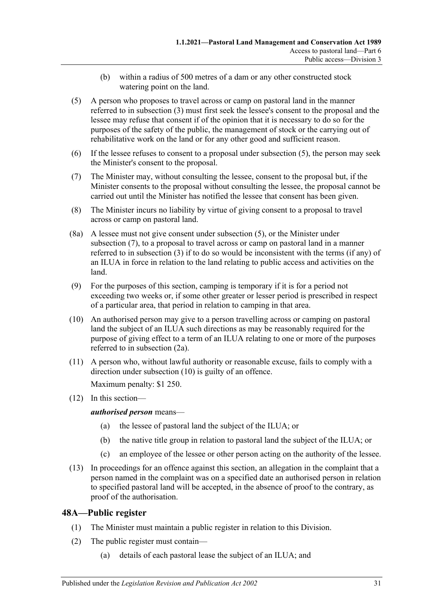- (b) within a radius of 500 metres of a dam or any other constructed stock watering point on the land.
- <span id="page-30-1"></span>(5) A person who proposes to travel across or camp on pastoral land in the manner referred to in [subsection](#page-29-5) (3) must first seek the lessee's consent to the proposal and the lessee may refuse that consent if of the opinion that it is necessary to do so for the purposes of the safety of the public, the management of stock or the carrying out of rehabilitative work on the land or for any other good and sufficient reason.
- (6) If the lessee refuses to consent to a proposal under [subsection](#page-30-1) (5), the person may seek the Minister's consent to the proposal.
- <span id="page-30-2"></span>(7) The Minister may, without consulting the lessee, consent to the proposal but, if the Minister consents to the proposal without consulting the lessee, the proposal cannot be carried out until the Minister has notified the lessee that consent has been given.
- (8) The Minister incurs no liability by virtue of giving consent to a proposal to travel across or camp on pastoral land.
- (8a) A lessee must not give consent under [subsection](#page-30-1) (5), or the Minister under [subsection](#page-30-2) (7), to a proposal to travel across or camp on pastoral land in a manner referred to in [subsection](#page-29-5) (3) if to do so would be inconsistent with the terms (if any) of an ILUA in force in relation to the land relating to public access and activities on the land.
- (9) For the purposes of this section, camping is temporary if it is for a period not exceeding two weeks or, if some other greater or lesser period is prescribed in respect of a particular area, that period in relation to camping in that area.
- <span id="page-30-3"></span>(10) An authorised person may give to a person travelling across or camping on pastoral land the subject of an ILUA such directions as may be reasonably required for the purpose of giving effect to a term of an ILUA relating to one or more of the purposes referred to in [subsection](#page-29-6) (2a).
- (11) A person who, without lawful authority or reasonable excuse, fails to comply with a direction under [subsection](#page-30-3) (10) is guilty of an offence. Maximum penalty: \$1 250.
- (12) In this section—

*authorised person* means—

- (a) the lessee of pastoral land the subject of the ILUA; or
- (b) the native title group in relation to pastoral land the subject of the ILUA; or
- (c) an employee of the lessee or other person acting on the authority of the lessee.
- (13) In proceedings for an offence against this section, an allegation in the complaint that a person named in the complaint was on a specified date an authorised person in relation to specified pastoral land will be accepted, in the absence of proof to the contrary, as proof of the authorisation.

## <span id="page-30-0"></span>**48A—Public register**

- (1) The Minister must maintain a public register in relation to this Division.
- (2) The public register must contain—
	- (a) details of each pastoral lease the subject of an ILUA; and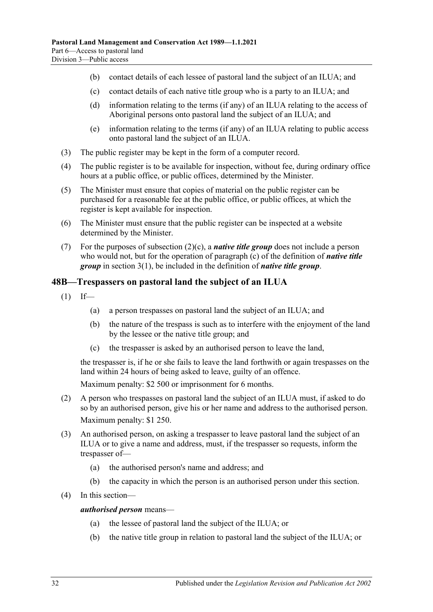- (b) contact details of each lessee of pastoral land the subject of an ILUA; and
- <span id="page-31-1"></span>(c) contact details of each native title group who is a party to an ILUA; and
- (d) information relating to the terms (if any) of an ILUA relating to the access of Aboriginal persons onto pastoral land the subject of an ILUA; and
- (e) information relating to the terms (if any) of an ILUA relating to public access onto pastoral land the subject of an ILUA.
- (3) The public register may be kept in the form of a computer record.
- (4) The public register is to be available for inspection, without fee, during ordinary office hours at a public office, or public offices, determined by the Minister.
- (5) The Minister must ensure that copies of material on the public register can be purchased for a reasonable fee at the public office, or public offices, at which the register is kept available for inspection.
- (6) The Minister must ensure that the public register can be inspected at a website determined by the Minister.
- (7) For the purposes of [subsection](#page-31-1) (2)(c), a *native title group* does not include a person who would not, but for the operation of [paragraph](#page-3-1) (c) of the definition of *native title group* in [section](#page-3-2) 3(1), be included in the definition of *native title group*.

## <span id="page-31-0"></span>**48B—Trespassers on pastoral land the subject of an ILUA**

- $(1)$  If—
	- (a) a person trespasses on pastoral land the subject of an ILUA; and
	- (b) the nature of the trespass is such as to interfere with the enjoyment of the land by the lessee or the native title group; and
	- (c) the trespasser is asked by an authorised person to leave the land,

the trespasser is, if he or she fails to leave the land forthwith or again trespasses on the land within 24 hours of being asked to leave, guilty of an offence.

Maximum penalty: \$2 500 or imprisonment for 6 months.

- (2) A person who trespasses on pastoral land the subject of an ILUA must, if asked to do so by an authorised person, give his or her name and address to the authorised person. Maximum penalty: \$1 250.
- (3) An authorised person, on asking a trespasser to leave pastoral land the subject of an ILUA or to give a name and address, must, if the trespasser so requests, inform the trespasser of—
	- (a) the authorised person's name and address; and
	- (b) the capacity in which the person is an authorised person under this section.
- (4) In this section—

#### *authorised person* means—

- (a) the lessee of pastoral land the subject of the ILUA; or
- (b) the native title group in relation to pastoral land the subject of the ILUA; or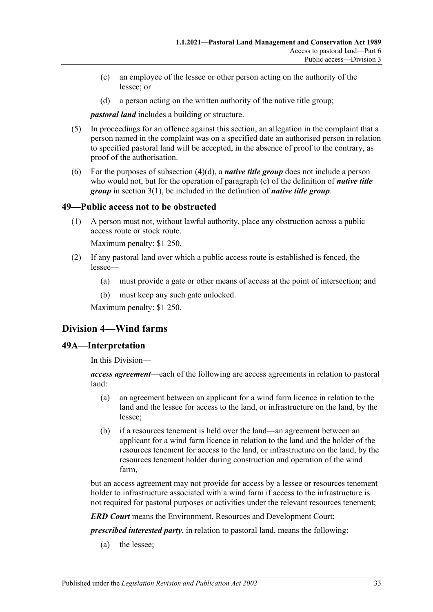- (c) an employee of the lessee or other person acting on the authority of the lessee; or
- (d) a person acting on the written authority of the native title group;

*pastoral land* includes a building or structure.

- <span id="page-32-3"></span>(5) In proceedings for an offence against this section, an allegation in the complaint that a person named in the complaint was on a specified date an authorised person in relation to specified pastoral land will be accepted, in the absence of proof to the contrary, as proof of the authorisation.
- (6) For the purposes of [subsection](#page-32-3) (4)(d), a *native title group* does not include a person who would not, but for the operation of [paragraph](#page-3-1) (c) of the definition of *native title group* in [section](#page-3-2) 3(1), be included in the definition of *native title group*.

### <span id="page-32-0"></span>**49—Public access not to be obstructed**

(1) A person must not, without lawful authority, place any obstruction across a public access route or stock route.

Maximum penalty: \$1 250.

- (2) If any pastoral land over which a public access route is established is fenced, the lessee—
	- (a) must provide a gate or other means of access at the point of intersection; and
	- (b) must keep any such gate unlocked.

Maximum penalty: \$1 250.

## <span id="page-32-1"></span>**Division 4—Wind farms**

#### <span id="page-32-2"></span>**49A—Interpretation**

In this Division—

*access agreement*—each of the following are access agreements in relation to pastoral land:

- (a) an agreement between an applicant for a wind farm licence in relation to the land and the lessee for access to the land, or infrastructure on the land, by the lessee;
- (b) if a resources tenement is held over the land—an agreement between an applicant for a wind farm licence in relation to the land and the holder of the resources tenement for access to the land, or infrastructure on the land, by the resources tenement holder during construction and operation of the wind farm,

but an access agreement may not provide for access by a lessee or resources tenement holder to infrastructure associated with a wind farm if access to the infrastructure is not required for pastoral purposes or activities under the relevant resources tenement;

*ERD Court* means the Environment, Resources and Development Court;

*prescribed interested party*, in relation to pastoral land, means the following:

(a) the lessee;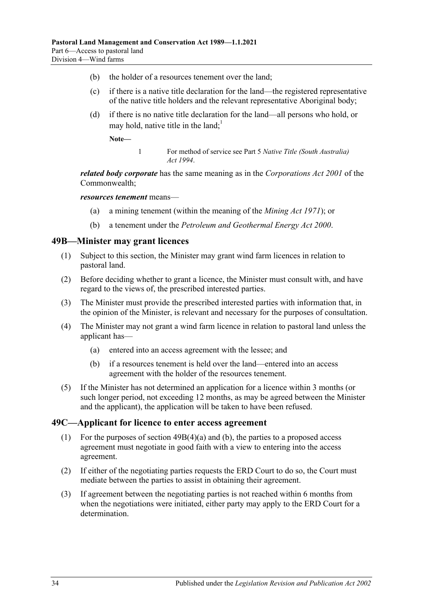- (b) the holder of a resources tenement over the land;
- (c) if there is a native title declaration for the land—the registered representative of the native title holders and the relevant representative Aboriginal body;
- <span id="page-33-4"></span>(d) if there is no native title declaration for the land—all persons who hold, or may hold, native title in the land;<sup>1</sup>

**Note—**

1 For method of service see Part 5 *[Native Title \(South Australia\)](http://www.legislation.sa.gov.au/index.aspx?action=legref&type=act&legtitle=Native%20Title%20(South%20Australia)%20Act%201994)  Act [1994](http://www.legislation.sa.gov.au/index.aspx?action=legref&type=act&legtitle=Native%20Title%20(South%20Australia)%20Act%201994)*.

*related body corporate* has the same meaning as in the *Corporations Act 2001* of the Commonwealth;

#### *resources tenement* means—

- (a) a mining tenement (within the meaning of the *[Mining Act](http://www.legislation.sa.gov.au/index.aspx?action=legref&type=act&legtitle=Mining%20Act%201971) 1971*); or
- (b) a tenement under the *[Petroleum and Geothermal Energy Act](http://www.legislation.sa.gov.au/index.aspx?action=legref&type=act&legtitle=Petroleum%20and%20Geothermal%20Energy%20Act%202000) 2000*.

#### <span id="page-33-0"></span>**49B—Minister may grant licences**

- (1) Subject to this section, the Minister may grant wind farm licences in relation to pastoral land.
- (2) Before deciding whether to grant a licence, the Minister must consult with, and have regard to the views of, the prescribed interested parties.
- (3) The Minister must provide the prescribed interested parties with information that, in the opinion of the Minister, is relevant and necessary for the purposes of consultation.
- <span id="page-33-2"></span>(4) The Minister may not grant a wind farm licence in relation to pastoral land unless the applicant has—
	- (a) entered into an access agreement with the lessee; and
	- (b) if a resources tenement is held over the land—entered into an access agreement with the holder of the resources tenement.
- <span id="page-33-3"></span>(5) If the Minister has not determined an application for a licence within 3 months (or such longer period, not exceeding 12 months, as may be agreed between the Minister and the applicant), the application will be taken to have been refused.

#### <span id="page-33-1"></span>**49C—Applicant for licence to enter access agreement**

- (1) For the purposes of section [49B\(4\)\(a\)](#page-33-2) and [\(b\),](#page-33-3) the parties to a proposed access agreement must negotiate in good faith with a view to entering into the access agreement.
- (2) If either of the negotiating parties requests the ERD Court to do so, the Court must mediate between the parties to assist in obtaining their agreement.
- (3) If agreement between the negotiating parties is not reached within 6 months from when the negotiations were initiated, either party may apply to the ERD Court for a determination.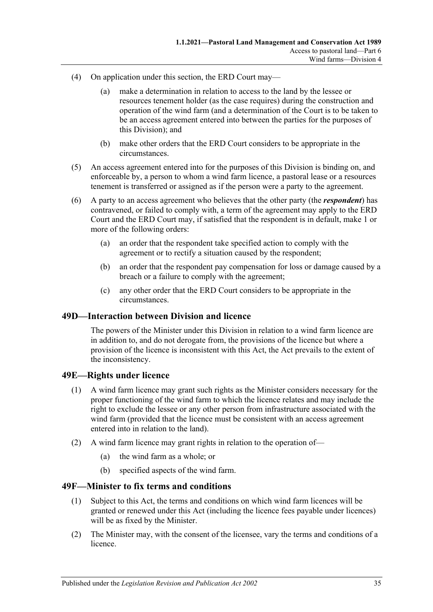- (4) On application under this section, the ERD Court may—
	- (a) make a determination in relation to access to the land by the lessee or resources tenement holder (as the case requires) during the construction and operation of the wind farm (and a determination of the Court is to be taken to be an access agreement entered into between the parties for the purposes of this Division); and
	- (b) make other orders that the ERD Court considers to be appropriate in the circumstances.
- (5) An access agreement entered into for the purposes of this Division is binding on, and enforceable by, a person to whom a wind farm licence, a pastoral lease or a resources tenement is transferred or assigned as if the person were a party to the agreement.
- (6) A party to an access agreement who believes that the other party (the *respondent*) has contravened, or failed to comply with, a term of the agreement may apply to the ERD Court and the ERD Court may, if satisfied that the respondent is in default, make 1 or more of the following orders:
	- (a) an order that the respondent take specified action to comply with the agreement or to rectify a situation caused by the respondent;
	- (b) an order that the respondent pay compensation for loss or damage caused by a breach or a failure to comply with the agreement;
	- (c) any other order that the ERD Court considers to be appropriate in the circumstances.

### <span id="page-34-0"></span>**49D—Interaction between Division and licence**

The powers of the Minister under this Division in relation to a wind farm licence are in addition to, and do not derogate from, the provisions of the licence but where a provision of the licence is inconsistent with this Act, the Act prevails to the extent of the inconsistency.

### <span id="page-34-1"></span>**49E—Rights under licence**

- (1) A wind farm licence may grant such rights as the Minister considers necessary for the proper functioning of the wind farm to which the licence relates and may include the right to exclude the lessee or any other person from infrastructure associated with the wind farm (provided that the licence must be consistent with an access agreement entered into in relation to the land).
- (2) A wind farm licence may grant rights in relation to the operation of—
	- (a) the wind farm as a whole; or
	- (b) specified aspects of the wind farm.

### <span id="page-34-2"></span>**49F—Minister to fix terms and conditions**

- (1) Subject to this Act, the terms and conditions on which wind farm licences will be granted or renewed under this Act (including the licence fees payable under licences) will be as fixed by the Minister.
- (2) The Minister may, with the consent of the licensee, vary the terms and conditions of a licence.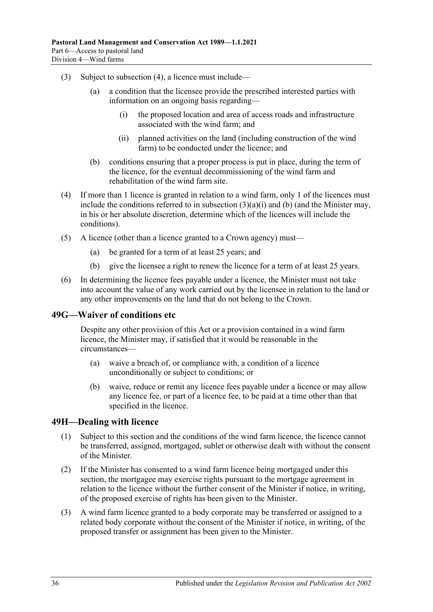- <span id="page-35-3"></span>(3) Subject to [subsection](#page-35-2) (4), a licence must include—
	- (a) a condition that the licensee provide the prescribed interested parties with information on an ongoing basis regarding—
		- (i) the proposed location and area of access roads and infrastructure associated with the wind farm; and
		- (ii) planned activities on the land (including construction of the wind farm) to be conducted under the licence; and
	- (b) conditions ensuring that a proper process is put in place, during the term of the licence, for the eventual decommissioning of the wind farm and rehabilitation of the wind farm site.
- <span id="page-35-4"></span><span id="page-35-2"></span>(4) If more than 1 licence is granted in relation to a wind farm, only 1 of the licences must include the conditions referred to in [subsection](#page-35-3)  $(3)(a)(i)$  and [\(b\)](#page-35-4) (and the Minister may, in his or her absolute discretion, determine which of the licences will include the conditions).
- (5) A licence (other than a licence granted to a Crown agency) must—
	- (a) be granted for a term of at least 25 years; and
	- (b) give the licensee a right to renew the licence for a term of at least 25 years.
- (6) In determining the licence fees payable under a licence, the Minister must not take into account the value of any work carried out by the licensee in relation to the land or any other improvements on the land that do not belong to the Crown.

#### <span id="page-35-0"></span>**49G—Waiver of conditions etc**

Despite any other provision of this Act or a provision contained in a wind farm licence, the Minister may, if satisfied that it would be reasonable in the circumstances—

- (a) waive a breach of, or compliance with, a condition of a licence unconditionally or subject to conditions; or
- (b) waive, reduce or remit any licence fees payable under a licence or may allow any licence fee, or part of a licence fee, to be paid at a time other than that specified in the licence.

#### <span id="page-35-1"></span>**49H—Dealing with licence**

- (1) Subject to this section and the conditions of the wind farm licence, the licence cannot be transferred, assigned, mortgaged, sublet or otherwise dealt with without the consent of the Minister.
- (2) If the Minister has consented to a wind farm licence being mortgaged under this section, the mortgagee may exercise rights pursuant to the mortgage agreement in relation to the licence without the further consent of the Minister if notice, in writing, of the proposed exercise of rights has been given to the Minister.
- (3) A wind farm licence granted to a body corporate may be transferred or assigned to a related body corporate without the consent of the Minister if notice, in writing, of the proposed transfer or assignment has been given to the Minister.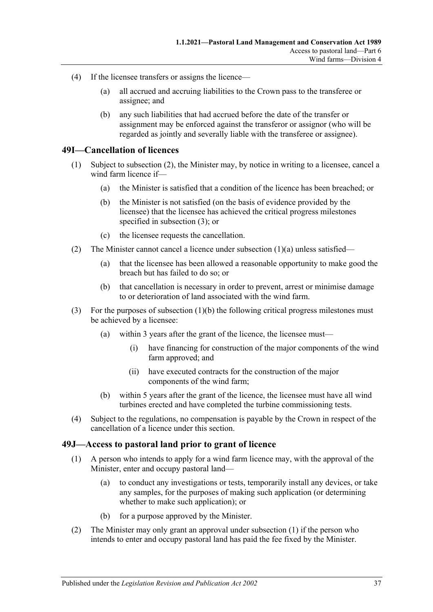- (4) If the licensee transfers or assigns the licence—
	- (a) all accrued and accruing liabilities to the Crown pass to the transferee or assignee; and
	- (b) any such liabilities that had accrued before the date of the transfer or assignment may be enforced against the transferor or assignor (who will be regarded as jointly and severally liable with the transferee or assignee).

#### <span id="page-36-0"></span>**49I—Cancellation of licences**

- <span id="page-36-5"></span><span id="page-36-4"></span>(1) Subject to [subsection](#page-36-2) (2), the Minister may, by notice in writing to a licensee, cancel a wind farm licence if—
	- (a) the Minister is satisfied that a condition of the licence has been breached; or
	- (b) the Minister is not satisfied (on the basis of evidence provided by the licensee) that the licensee has achieved the critical progress milestones specified in [subsection](#page-36-3) (3); or
	- (c) the licensee requests the cancellation.
- <span id="page-36-2"></span>(2) The Minister cannot cancel a licence under [subsection](#page-36-4)  $(1)(a)$  unless satisfied—
	- (a) that the licensee has been allowed a reasonable opportunity to make good the breach but has failed to do so; or
	- (b) that cancellation is necessary in order to prevent, arrest or minimise damage to or deterioration of land associated with the wind farm.
- <span id="page-36-3"></span>(3) For the purposes of [subsection](#page-36-5) (1)(b) the following critical progress milestones must be achieved by a licensee:
	- (a) within 3 years after the grant of the licence, the licensee must—
		- (i) have financing for construction of the major components of the wind farm approved; and
		- (ii) have executed contracts for the construction of the major components of the wind farm;
	- (b) within 5 years after the grant of the licence, the licensee must have all wind turbines erected and have completed the turbine commissioning tests.
- (4) Subject to the regulations, no compensation is payable by the Crown in respect of the cancellation of a licence under this section.

#### <span id="page-36-6"></span><span id="page-36-1"></span>**49J—Access to pastoral land prior to grant of licence**

- (1) A person who intends to apply for a wind farm licence may, with the approval of the Minister, enter and occupy pastoral land—
	- (a) to conduct any investigations or tests, temporarily install any devices, or take any samples, for the purposes of making such application (or determining whether to make such application); or
	- (b) for a purpose approved by the Minister.
- (2) The Minister may only grant an approval under [subsection](#page-36-6) (1) if the person who intends to enter and occupy pastoral land has paid the fee fixed by the Minister.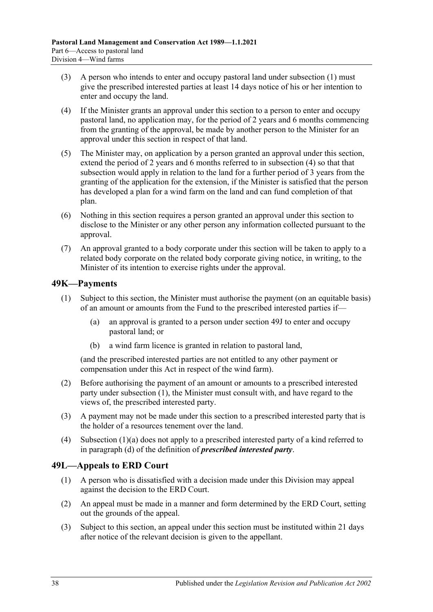- (3) A person who intends to enter and occupy pastoral land under [subsection](#page-36-6) (1) must give the prescribed interested parties at least 14 days notice of his or her intention to enter and occupy the land.
- <span id="page-37-2"></span>(4) If the Minister grants an approval under this section to a person to enter and occupy pastoral land, no application may, for the period of 2 years and 6 months commencing from the granting of the approval, be made by another person to the Minister for an approval under this section in respect of that land.
- (5) The Minister may, on application by a person granted an approval under this section, extend the period of 2 years and 6 months referred to in [subsection](#page-37-2) (4) so that that subsection would apply in relation to the land for a further period of 3 years from the granting of the application for the extension, if the Minister is satisfied that the person has developed a plan for a wind farm on the land and can fund completion of that plan.
- (6) Nothing in this section requires a person granted an approval under this section to disclose to the Minister or any other person any information collected pursuant to the approval.
- (7) An approval granted to a body corporate under this section will be taken to apply to a related body corporate on the related body corporate giving notice, in writing, to the Minister of its intention to exercise rights under the approval.

## <span id="page-37-3"></span><span id="page-37-0"></span>**49K—Payments**

- <span id="page-37-4"></span>(1) Subject to this section, the Minister must authorise the payment (on an equitable basis) of an amount or amounts from the Fund to the prescribed interested parties if—
	- (a) an approval is granted to a person under [section](#page-36-1) 49J to enter and occupy pastoral land; or
	- (b) a wind farm licence is granted in relation to pastoral land,

(and the prescribed interested parties are not entitled to any other payment or compensation under this Act in respect of the wind farm).

- (2) Before authorising the payment of an amount or amounts to a prescribed interested party under [subsection](#page-37-3) (1), the Minister must consult with, and have regard to the views of, the prescribed interested party.
- (3) A payment may not be made under this section to a prescribed interested party that is the holder of a resources tenement over the land.
- (4) [Subsection](#page-37-4) (1)(a) does not apply to a prescribed interested party of a kind referred to in [paragraph](#page-33-4) (d) of the definition of *prescribed interested party*.

### <span id="page-37-1"></span>**49L—Appeals to ERD Court**

- (1) A person who is dissatisfied with a decision made under this Division may appeal against the decision to the ERD Court.
- (2) An appeal must be made in a manner and form determined by the ERD Court, setting out the grounds of the appeal.
- <span id="page-37-5"></span>(3) Subject to this section, an appeal under this section must be instituted within 21 days after notice of the relevant decision is given to the appellant.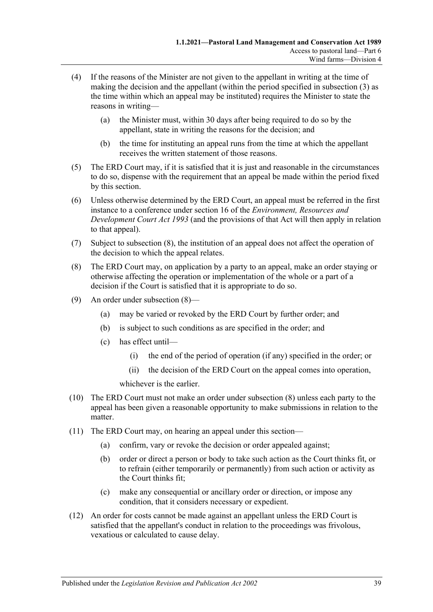- (4) If the reasons of the Minister are not given to the appellant in writing at the time of making the decision and the appellant (within the period specified in [subsection](#page-37-5) (3) as the time within which an appeal may be instituted) requires the Minister to state the reasons in writing—
	- (a) the Minister must, within 30 days after being required to do so by the appellant, state in writing the reasons for the decision; and
	- (b) the time for instituting an appeal runs from the time at which the appellant receives the written statement of those reasons.
- (5) The ERD Court may, if it is satisfied that it is just and reasonable in the circumstances to do so, dispense with the requirement that an appeal be made within the period fixed by this section.
- (6) Unless otherwise determined by the ERD Court, an appeal must be referred in the first instance to a conference under section 16 of the *[Environment, Resources and](http://www.legislation.sa.gov.au/index.aspx?action=legref&type=act&legtitle=Environment%20Resources%20and%20Development%20Court%20Act%201993)  [Development Court Act](http://www.legislation.sa.gov.au/index.aspx?action=legref&type=act&legtitle=Environment%20Resources%20and%20Development%20Court%20Act%201993) 1993* (and the provisions of that Act will then apply in relation to that appeal).
- (7) Subject to [subsection](#page-38-0) (8), the institution of an appeal does not affect the operation of the decision to which the appeal relates.
- <span id="page-38-0"></span>(8) The ERD Court may, on application by a party to an appeal, make an order staying or otherwise affecting the operation or implementation of the whole or a part of a decision if the Court is satisfied that it is appropriate to do so.
- (9) An order under [subsection](#page-38-0) (8)—
	- (a) may be varied or revoked by the ERD Court by further order; and
	- (b) is subject to such conditions as are specified in the order; and
	- (c) has effect until—
		- (i) the end of the period of operation (if any) specified in the order; or
		- (ii) the decision of the ERD Court on the appeal comes into operation,

whichever is the earlier.

- (10) The ERD Court must not make an order under [subsection](#page-38-0) (8) unless each party to the appeal has been given a reasonable opportunity to make submissions in relation to the matter.
- (11) The ERD Court may, on hearing an appeal under this section—
	- (a) confirm, vary or revoke the decision or order appealed against;
	- (b) order or direct a person or body to take such action as the Court thinks fit, or to refrain (either temporarily or permanently) from such action or activity as the Court thinks fit;
	- (c) make any consequential or ancillary order or direction, or impose any condition, that it considers necessary or expedient.
- (12) An order for costs cannot be made against an appellant unless the ERD Court is satisfied that the appellant's conduct in relation to the proceedings was frivolous, vexatious or calculated to cause delay.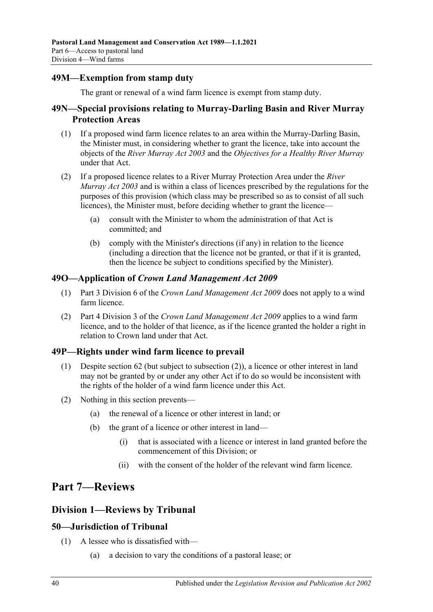## <span id="page-39-0"></span>**49M—Exemption from stamp duty**

The grant or renewal of a wind farm licence is exempt from stamp duty.

## <span id="page-39-1"></span>**49N—Special provisions relating to Murray-Darling Basin and River Murray Protection Areas**

- (1) If a proposed wind farm licence relates to an area within the Murray-Darling Basin, the Minister must, in considering whether to grant the licence, take into account the objects of the *[River Murray Act](http://www.legislation.sa.gov.au/index.aspx?action=legref&type=act&legtitle=River%20Murray%20Act%202003) 2003* and the *Objectives for a Healthy River Murray* under that Act.
- (2) If a proposed licence relates to a River Murray Protection Area under the *[River](http://www.legislation.sa.gov.au/index.aspx?action=legref&type=act&legtitle=River%20Murray%20Act%202003)  [Murray Act](http://www.legislation.sa.gov.au/index.aspx?action=legref&type=act&legtitle=River%20Murray%20Act%202003) 2003* and is within a class of licences prescribed by the regulations for the purposes of this provision (which class may be prescribed so as to consist of all such licences), the Minister must, before deciding whether to grant the licence—
	- (a) consult with the Minister to whom the administration of that Act is committed; and
	- (b) comply with the Minister's directions (if any) in relation to the licence (including a direction that the licence not be granted, or that if it is granted, then the licence be subject to conditions specified by the Minister).

### <span id="page-39-2"></span>**49O—Application of** *Crown Land Management Act 2009*

- (1) Part 3 Division 6 of the *[Crown Land Management Act](http://www.legislation.sa.gov.au/index.aspx?action=legref&type=act&legtitle=Crown%20Land%20Management%20Act%202009) 2009* does not apply to a wind farm licence.
- (2) Part 4 Division 3 of the *[Crown Land Management Act](http://www.legislation.sa.gov.au/index.aspx?action=legref&type=act&legtitle=Crown%20Land%20Management%20Act%202009) 2009* applies to a wind farm licence, and to the holder of that licence, as if the licence granted the holder a right in relation to Crown land under that Act.

### <span id="page-39-3"></span>**49P—Rights under wind farm licence to prevail**

- (1) Despite [section](#page-43-1) 62 (but subject to [subsection](#page-39-7) (2)), a licence or other interest in land may not be granted by or under any other Act if to do so would be inconsistent with the rights of the holder of a wind farm licence under this Act.
- <span id="page-39-7"></span>(2) Nothing in this section prevents—
	- (a) the renewal of a licence or other interest in land; or
	- (b) the grant of a licence or other interest in land—
		- (i) that is associated with a licence or interest in land granted before the commencement of this Division; or
		- (ii) with the consent of the holder of the relevant wind farm licence.

## <span id="page-39-4"></span>**Part 7—Reviews**

## <span id="page-39-5"></span>**Division 1—Reviews by Tribunal**

## <span id="page-39-6"></span>**50—Jurisdiction of Tribunal**

- (1) A lessee who is dissatisfied with—
	- (a) a decision to vary the conditions of a pastoral lease; or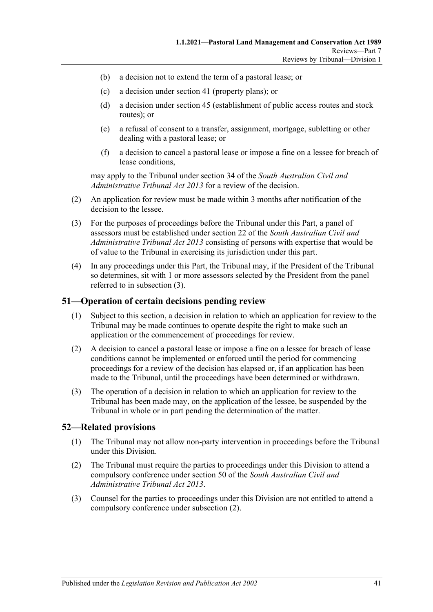- (b) a decision not to extend the term of a pastoral lease; or
- (c) a decision under section 41 (property plans); or
- (d) a decision under section 45 (establishment of public access routes and stock routes); or
- (e) a refusal of consent to a transfer, assignment, mortgage, subletting or other dealing with a pastoral lease; or
- (f) a decision to cancel a pastoral lease or impose a fine on a lessee for breach of lease conditions,

may apply to the Tribunal under section 34 of the *[South Australian Civil and](http://www.legislation.sa.gov.au/index.aspx?action=legref&type=act&legtitle=South%20Australian%20Civil%20and%20Administrative%20Tribunal%20Act%202013)  [Administrative Tribunal Act](http://www.legislation.sa.gov.au/index.aspx?action=legref&type=act&legtitle=South%20Australian%20Civil%20and%20Administrative%20Tribunal%20Act%202013) 2013* for a review of the decision.

- (2) An application for review must be made within 3 months after notification of the decision to the lessee.
- <span id="page-40-2"></span>(3) For the purposes of proceedings before the Tribunal under this Part, a panel of assessors must be established under section 22 of the *[South Australian Civil and](http://www.legislation.sa.gov.au/index.aspx?action=legref&type=act&legtitle=South%20Australian%20Civil%20and%20Administrative%20Tribunal%20Act%202013)  [Administrative Tribunal Act](http://www.legislation.sa.gov.au/index.aspx?action=legref&type=act&legtitle=South%20Australian%20Civil%20and%20Administrative%20Tribunal%20Act%202013) 2013* consisting of persons with expertise that would be of value to the Tribunal in exercising its jurisdiction under this part.
- (4) In any proceedings under this Part, the Tribunal may, if the President of the Tribunal so determines, sit with 1 or more assessors selected by the President from the panel referred to in [subsection](#page-40-2) (3).

#### <span id="page-40-0"></span>**51—Operation of certain decisions pending review**

- (1) Subject to this section, a decision in relation to which an application for review to the Tribunal may be made continues to operate despite the right to make such an application or the commencement of proceedings for review.
- (2) A decision to cancel a pastoral lease or impose a fine on a lessee for breach of lease conditions cannot be implemented or enforced until the period for commencing proceedings for a review of the decision has elapsed or, if an application has been made to the Tribunal, until the proceedings have been determined or withdrawn.
- (3) The operation of a decision in relation to which an application for review to the Tribunal has been made may, on the application of the lessee, be suspended by the Tribunal in whole or in part pending the determination of the matter.

#### <span id="page-40-1"></span>**52—Related provisions**

- (1) The Tribunal may not allow non-party intervention in proceedings before the Tribunal under this Division.
- <span id="page-40-3"></span>(2) The Tribunal must require the parties to proceedings under this Division to attend a compulsory conference under section 50 of the *[South Australian Civil and](http://www.legislation.sa.gov.au/index.aspx?action=legref&type=act&legtitle=South%20Australian%20Civil%20and%20Administrative%20Tribunal%20Act%202013)  [Administrative Tribunal Act](http://www.legislation.sa.gov.au/index.aspx?action=legref&type=act&legtitle=South%20Australian%20Civil%20and%20Administrative%20Tribunal%20Act%202013) 2013*.
- (3) Counsel for the parties to proceedings under this Division are not entitled to attend a compulsory conference under [subsection](#page-40-3) (2).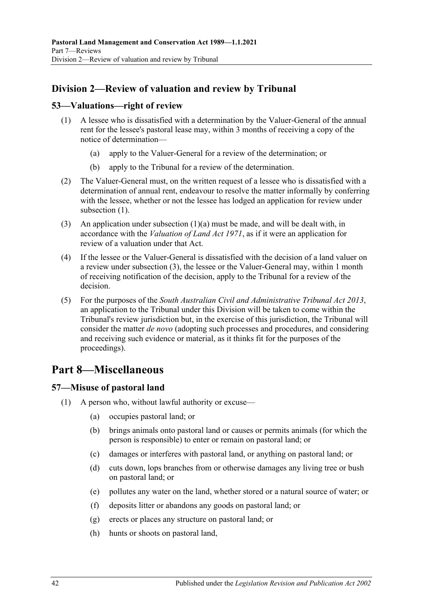## <span id="page-41-0"></span>**Division 2—Review of valuation and review by Tribunal**

### <span id="page-41-4"></span><span id="page-41-1"></span>**53—Valuations—right of review**

- <span id="page-41-5"></span>(1) A lessee who is dissatisfied with a determination by the Valuer-General of the annual rent for the lessee's pastoral lease may, within 3 months of receiving a copy of the notice of determination—
	- (a) apply to the Valuer-General for a review of the determination; or
	- (b) apply to the Tribunal for a review of the determination.
- (2) The Valuer-General must, on the written request of a lessee who is dissatisfied with a determination of annual rent, endeavour to resolve the matter informally by conferring with the lessee, whether or not the lessee has lodged an application for review under [subsection](#page-41-4) (1).
- <span id="page-41-6"></span>(3) An application under [subsection](#page-41-5)  $(1)(a)$  must be made, and will be dealt with, in accordance with the *[Valuation of Land Act](http://www.legislation.sa.gov.au/index.aspx?action=legref&type=act&legtitle=Valuation%20of%20Land%20Act%201971) 1971*, as if it were an application for review of a valuation under that Act.
- (4) If the lessee or the Valuer-General is dissatisfied with the decision of a land valuer on a review under [subsection](#page-41-6) (3), the lessee or the Valuer-General may, within 1 month of receiving notification of the decision, apply to the Tribunal for a review of the decision.
- (5) For the purposes of the *[South Australian Civil and Administrative Tribunal Act](http://www.legislation.sa.gov.au/index.aspx?action=legref&type=act&legtitle=South%20Australian%20Civil%20and%20Administrative%20Tribunal%20Act%202013) 2013*, an application to the Tribunal under this Division will be taken to come within the Tribunal's review jurisdiction but, in the exercise of this jurisdiction, the Tribunal will consider the matter *de novo* (adopting such processes and procedures, and considering and receiving such evidence or material, as it thinks fit for the purposes of the proceedings).

## <span id="page-41-2"></span>**Part 8—Miscellaneous**

## <span id="page-41-7"></span><span id="page-41-3"></span>**57—Misuse of pastoral land**

- (1) A person who, without lawful authority or excuse—
	- (a) occupies pastoral land; or
	- (b) brings animals onto pastoral land or causes or permits animals (for which the person is responsible) to enter or remain on pastoral land; or
	- (c) damages or interferes with pastoral land, or anything on pastoral land; or
	- (d) cuts down, lops branches from or otherwise damages any living tree or bush on pastoral land; or
	- (e) pollutes any water on the land, whether stored or a natural source of water; or
	- (f) deposits litter or abandons any goods on pastoral land; or
	- (g) erects or places any structure on pastoral land; or
	- (h) hunts or shoots on pastoral land,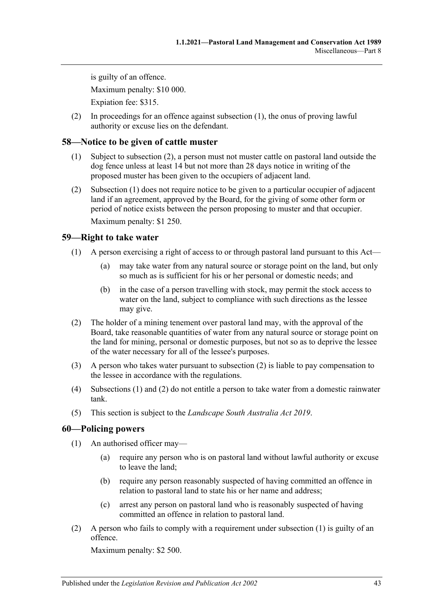is guilty of an offence. Maximum penalty: \$10 000. Expiation fee: \$315.

(2) In proceedings for an offence against [subsection](#page-41-7) (1), the onus of proving lawful authority or excuse lies on the defendant.

## <span id="page-42-4"></span><span id="page-42-0"></span>**58—Notice to be given of cattle muster**

- (1) Subject to [subsection](#page-42-3) (2), a person must not muster cattle on pastoral land outside the dog fence unless at least 14 but not more than 28 days notice in writing of the proposed muster has been given to the occupiers of adjacent land.
- <span id="page-42-3"></span>(2) [Subsection](#page-42-4) (1) does not require notice to be given to a particular occupier of adjacent land if an agreement, approved by the Board, for the giving of some other form or period of notice exists between the person proposing to muster and that occupier.

Maximum penalty: \$1 250.

## <span id="page-42-6"></span><span id="page-42-1"></span>**59—Right to take water**

- (1) A person exercising a right of access to or through pastoral land pursuant to this Act—
	- (a) may take water from any natural source or storage point on the land, but only so much as is sufficient for his or her personal or domestic needs; and
	- (b) in the case of a person travelling with stock, may permit the stock access to water on the land, subject to compliance with such directions as the lessee may give.
- <span id="page-42-5"></span>(2) The holder of a mining tenement over pastoral land may, with the approval of the Board, take reasonable quantities of water from any natural source or storage point on the land for mining, personal or domestic purposes, but not so as to deprive the lessee of the water necessary for all of the lessee's purposes.
- (3) A person who takes water pursuant to [subsection](#page-42-5) (2) is liable to pay compensation to the lessee in accordance with the regulations.
- (4) [Subsections](#page-42-6) (1) and [\(2\)](#page-42-5) do not entitle a person to take water from a domestic rainwater tank.
- (5) This section is subject to the *[Landscape South Australia Act](http://www.legislation.sa.gov.au/index.aspx?action=legref&type=act&legtitle=Landscape%20South%20Australia%20Act%202019) 2019*.

### <span id="page-42-7"></span><span id="page-42-2"></span>**60—Policing powers**

- (1) An authorised officer may—
	- (a) require any person who is on pastoral land without lawful authority or excuse to leave the land;
	- (b) require any person reasonably suspected of having committed an offence in relation to pastoral land to state his or her name and address;
	- (c) arrest any person on pastoral land who is reasonably suspected of having committed an offence in relation to pastoral land.
- (2) A person who fails to comply with a requirement under [subsection](#page-42-7) (1) is guilty of an offence.

Maximum penalty: \$2 500.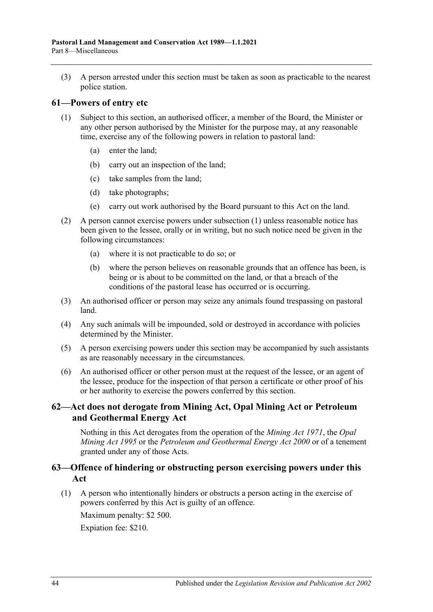(3) A person arrested under this section must be taken as soon as practicable to the nearest police station.

#### <span id="page-43-3"></span><span id="page-43-0"></span>**61—Powers of entry etc**

- (1) Subject to this section, an authorised officer, a member of the Board, the Minister or any other person authorised by the Minister for the purpose may, at any reasonable time, exercise any of the following powers in relation to pastoral land:
	- (a) enter the land;
	- (b) carry out an inspection of the land;
	- (c) take samples from the land;
	- (d) take photographs;
	- (e) carry out work authorised by the Board pursuant to this Act on the land.
- (2) A person cannot exercise powers under [subsection](#page-43-3) (1) unless reasonable notice has been given to the lessee, orally or in writing, but no such notice need be given in the following circumstances:
	- (a) where it is not practicable to do so; or
	- (b) where the person believes on reasonable grounds that an offence has been, is being or is about to be committed on the land, or that a breach of the conditions of the pastoral lease has occurred or is occurring.
- (3) An authorised officer or person may seize any animals found trespassing on pastoral land.
- (4) Any such animals will be impounded, sold or destroyed in accordance with policies determined by the Minister.
- (5) A person exercising powers under this section may be accompanied by such assistants as are reasonably necessary in the circumstances.
- (6) An authorised officer or other person must at the request of the lessee, or an agent of the lessee, produce for the inspection of that person a certificate or other proof of his or her authority to exercise the powers conferred by this section.

### <span id="page-43-1"></span>**62—Act does not derogate from Mining Act, Opal Mining Act or Petroleum and Geothermal Energy Act**

Nothing in this Act derogates from the operation of the *[Mining Act](http://www.legislation.sa.gov.au/index.aspx?action=legref&type=act&legtitle=Mining%20Act%201971) 1971*, the *[Opal](http://www.legislation.sa.gov.au/index.aspx?action=legref&type=act&legtitle=Opal%20Mining%20Act%201995)  [Mining Act](http://www.legislation.sa.gov.au/index.aspx?action=legref&type=act&legtitle=Opal%20Mining%20Act%201995) 1995* or the *[Petroleum and Geothermal Energy Act](http://www.legislation.sa.gov.au/index.aspx?action=legref&type=act&legtitle=Petroleum%20and%20Geothermal%20Energy%20Act%202000) 2000* or of a tenement granted under any of those Acts.

### <span id="page-43-2"></span>**63—Offence of hindering or obstructing person exercising powers under this Act**

(1) A person who intentionally hinders or obstructs a person acting in the exercise of powers conferred by this Act is guilty of an offence.

Maximum penalty: \$2 500.

Expiation fee: \$210.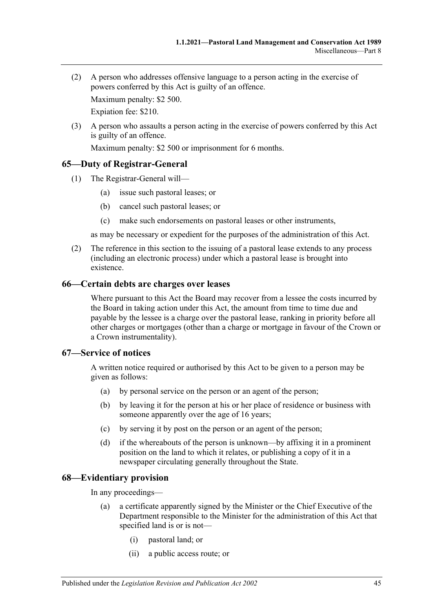(2) A person who addresses offensive language to a person acting in the exercise of powers conferred by this Act is guilty of an offence.

Maximum penalty: \$2 500.

Expiation fee: \$210.

(3) A person who assaults a person acting in the exercise of powers conferred by this Act is guilty of an offence.

Maximum penalty: \$2 500 or imprisonment for 6 months.

## <span id="page-44-0"></span>**65—Duty of Registrar-General**

- (1) The Registrar-General will—
	- (a) issue such pastoral leases; or
	- (b) cancel such pastoral leases; or
	- (c) make such endorsements on pastoral leases or other instruments,

as may be necessary or expedient for the purposes of the administration of this Act.

(2) The reference in this section to the issuing of a pastoral lease extends to any process (including an electronic process) under which a pastoral lease is brought into existence.

### <span id="page-44-1"></span>**66—Certain debts are charges over leases**

Where pursuant to this Act the Board may recover from a lessee the costs incurred by the Board in taking action under this Act, the amount from time to time due and payable by the lessee is a charge over the pastoral lease, ranking in priority before all other charges or mortgages (other than a charge or mortgage in favour of the Crown or a Crown instrumentality).

### <span id="page-44-2"></span>**67—Service of notices**

A written notice required or authorised by this Act to be given to a person may be given as follows:

- (a) by personal service on the person or an agent of the person;
- (b) by leaving it for the person at his or her place of residence or business with someone apparently over the age of 16 years;
- (c) by serving it by post on the person or an agent of the person;
- (d) if the whereabouts of the person is unknown—by affixing it in a prominent position on the land to which it relates, or publishing a copy of it in a newspaper circulating generally throughout the State.

## <span id="page-44-3"></span>**68—Evidentiary provision**

In any proceedings—

- (a) a certificate apparently signed by the Minister or the Chief Executive of the Department responsible to the Minister for the administration of this Act that specified land is or is not—
	- (i) pastoral land; or
	- (ii) a public access route; or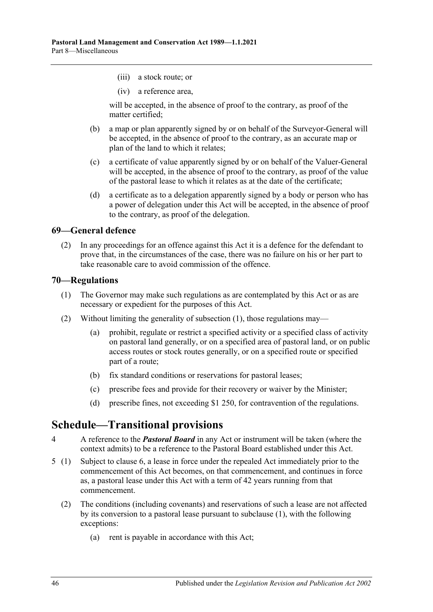- (iii) a stock route; or
- (iv) a reference area,

will be accepted, in the absence of proof to the contrary, as proof of the matter certified;

- (b) a map or plan apparently signed by or on behalf of the Surveyor-General will be accepted, in the absence of proof to the contrary, as an accurate map or plan of the land to which it relates;
- (c) a certificate of value apparently signed by or on behalf of the Valuer-General will be accepted, in the absence of proof to the contrary, as proof of the value of the pastoral lease to which it relates as at the date of the certificate;
- (d) a certificate as to a delegation apparently signed by a body or person who has a power of delegation under this Act will be accepted, in the absence of proof to the contrary, as proof of the delegation.

#### <span id="page-45-0"></span>**69—General defence**

(2) In any proceedings for an offence against this Act it is a defence for the defendant to prove that, in the circumstances of the case, there was no failure on his or her part to take reasonable care to avoid commission of the offence.

#### <span id="page-45-3"></span><span id="page-45-1"></span>**70—Regulations**

- (1) The Governor may make such regulations as are contemplated by this Act or as are necessary or expedient for the purposes of this Act.
- (2) Without limiting the generality of [subsection](#page-45-3) (1), those regulations may—
	- (a) prohibit, regulate or restrict a specified activity or a specified class of activity on pastoral land generally, or on a specified area of pastoral land, or on public access routes or stock routes generally, or on a specified route or specified part of a route;
	- (b) fix standard conditions or reservations for pastoral leases;
	- (c) prescribe fees and provide for their recovery or waiver by the Minister;
	- (d) prescribe fines, not exceeding \$1 250, for contravention of the regulations.

## <span id="page-45-2"></span>**Schedule—Transitional provisions**

- 4 A reference to the *Pastoral Board* in any Act or instrument will be taken (where the context admits) to be a reference to the Pastoral Board established under this Act.
- <span id="page-45-4"></span>5 (1) Subject to [clause](#page-46-0) 6, a lease in force under the repealed Act immediately prior to the commencement of this Act becomes, on that commencement, and continues in force as, a pastoral lease under this Act with a term of 42 years running from that commencement.
	- (2) The conditions (including covenants) and reservations of such a lease are not affected by its conversion to a pastoral lease pursuant to subclause (1), with the following exceptions:
		- (a) rent is payable in accordance with this Act;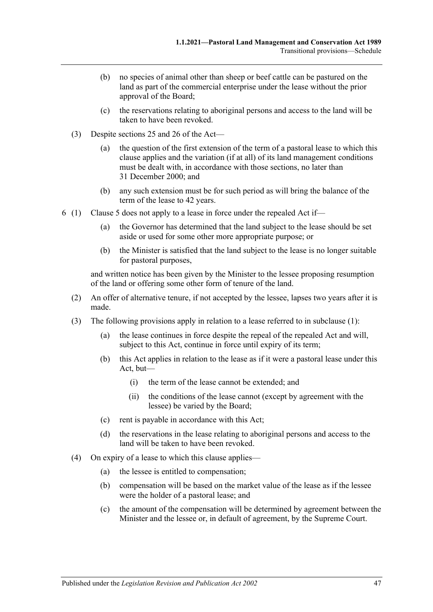- (b) no species of animal other than sheep or beef cattle can be pastured on the land as part of the commercial enterprise under the lease without the prior approval of the Board;
- (c) the reservations relating to aboriginal persons and access to the land will be taken to have been revoked.
- (3) Despite [sections](#page-15-0) 25 and [26](#page-17-0) of the Act—
	- (a) the question of the first extension of the term of a pastoral lease to which this clause applies and the variation (if at all) of its land management conditions must be dealt with, in accordance with those sections, no later than 31 December 2000; and
	- (b) any such extension must be for such period as will bring the balance of the term of the lease to 42 years.
- <span id="page-46-0"></span>6 (1) [Clause](#page-45-4) 5 does not apply to a lease in force under the repealed Act if—
	- (a) the Governor has determined that the land subject to the lease should be set aside or used for some other more appropriate purpose; or
	- (b) the Minister is satisfied that the land subject to the lease is no longer suitable for pastoral purposes,

and written notice has been given by the Minister to the lessee proposing resumption of the land or offering some other form of tenure of the land.

- (2) An offer of alternative tenure, if not accepted by the lessee, lapses two years after it is made.
- (3) The following provisions apply in relation to a lease referred to in subclause (1):
	- (a) the lease continues in force despite the repeal of the repealed Act and will, subject to this Act, continue in force until expiry of its term;
	- (b) this Act applies in relation to the lease as if it were a pastoral lease under this Act, but—
		- (i) the term of the lease cannot be extended; and
		- (ii) the conditions of the lease cannot (except by agreement with the lessee) be varied by the Board;
	- (c) rent is payable in accordance with this Act;
	- (d) the reservations in the lease relating to aboriginal persons and access to the land will be taken to have been revoked.
- (4) On expiry of a lease to which this clause applies—
	- (a) the lessee is entitled to compensation;
	- (b) compensation will be based on the market value of the lease as if the lessee were the holder of a pastoral lease; and
	- (c) the amount of the compensation will be determined by agreement between the Minister and the lessee or, in default of agreement, by the Supreme Court.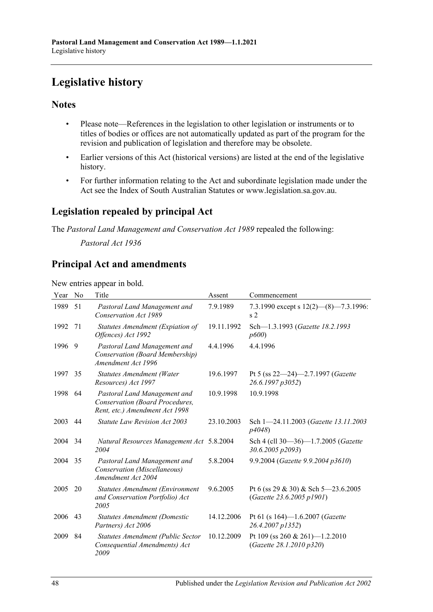# <span id="page-47-0"></span>**Legislative history**

## **Notes**

- Please note—References in the legislation to other legislation or instruments or to titles of bodies or offices are not automatically updated as part of the program for the revision and publication of legislation and therefore may be obsolete.
- Earlier versions of this Act (historical versions) are listed at the end of the legislative history.
- For further information relating to the Act and subordinate legislation made under the Act see the Index of South Australian Statutes or www.legislation.sa.gov.au.

## **Legislation repealed by principal Act**

The *Pastoral Land Management and Conservation Act 1989* repealed the following:

*Pastoral Act 1936*

## **Principal Act and amendments**

New entries appear in bold.

| Year | No  | Title                                                                                             | Assent     | Commencement                                                     |
|------|-----|---------------------------------------------------------------------------------------------------|------------|------------------------------------------------------------------|
| 1989 | 51  | Pastoral Land Management and<br>Conservation Act 1989                                             | 7.9.1989   | 7.3.1990 except s $12(2)$ (8) - 7.3.1996:<br>s <sub>2</sub>      |
| 1992 | 71  | Statutes Amendment (Expiation of<br>Offences) Act 1992                                            | 19.11.1992 | Sch-1.3.1993 (Gazette 18.2.1993<br>p600                          |
| 1996 | - 9 | Pastoral Land Management and<br>Conservation (Board Membership)<br>Amendment Act 1996             | 4.4.1996   | 4.4.1996                                                         |
| 1997 | 35  | <b>Statutes Amendment (Water</b><br>Resources) Act 1997                                           | 19.6.1997  | Pt 5 (ss 22-24)-2.7.1997 (Gazette<br>26.6.1997 p3052)            |
| 1998 | 64  | Pastoral Land Management and<br>Conservation (Board Procedures,<br>Rent, etc.) Amendment Act 1998 | 10.9.1998  | 10.9.1998                                                        |
| 2003 | 44  | Statute Law Revision Act 2003                                                                     | 23.10.2003 | Sch 1-24.11.2003 (Gazette 13.11.2003)<br>p4048)                  |
| 2004 | 34  | Natural Resources Management Act 5.8.2004<br>2004                                                 |            | Sch 4 (cll 30-36)-1.7.2005 (Gazette<br>30.6.2005 p2093)          |
| 2004 | 35  | Pastoral Land Management and<br>Conservation (Miscellaneous)<br>Amendment Act 2004                | 5.8.2004   | 9.9.2004 (Gazette 9.9.2004 p3610)                                |
| 2005 | 20  | Statutes Amendment (Environment<br>and Conservation Portfolio) Act<br>2005                        | 9.6.2005   | Pt 6 (ss 29 & 30) & Sch 5-23.6.2005<br>(Gazette 23.6.2005 p1901) |
| 2006 | 43  | Statutes Amendment (Domestic<br>Partners) Act 2006                                                | 14.12.2006 | Pt 61 (s 164)-1.6.2007 (Gazette<br>26.4.2007 p1352)              |
| 2009 | 84  | Statutes Amendment (Public Sector<br>Consequential Amendments) Act<br>2009                        | 10.12.2009 | Pt 109 (ss 260 & 261)-1.2.2010<br>(Gazette 28.1.2010 p320)       |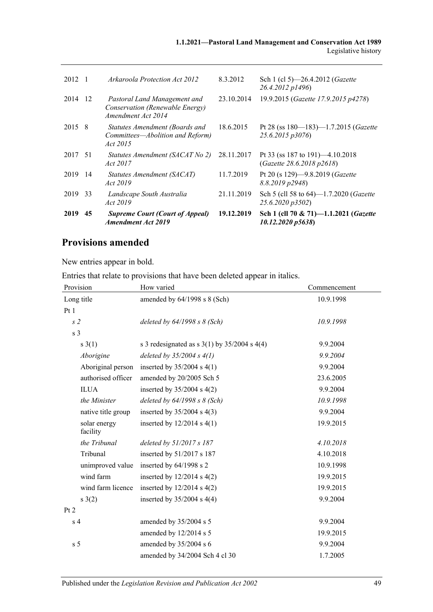| 2012    |     | Arkaroola Protection Act 2012                                                         | 8.3.2012   | Sch 1 (cl 5)—26.4.2012 ( <i>Gazette</i><br>26.4.2012 p1496)            |
|---------|-----|---------------------------------------------------------------------------------------|------------|------------------------------------------------------------------------|
| 2014    | -12 | Pastoral Land Management and<br>Conservation (Renewable Energy)<br>Amendment Act 2014 | 23.10.2014 | 19.9.2015 (Gazette 17.9.2015 p4278)                                    |
| 2015 8  |     | Statutes Amendment (Boards and<br>Committees-Abolition and Reform)<br><i>Act</i> 2015 | 18.6.2015  | Pt 28 (ss $180 - 183$ ) -1.7.2015 ( <i>Gazette</i><br>25.6.2015 p3076) |
| 2017 51 |     | Statutes Amendment (SACAT No 2)<br>Act 2017                                           | 28.11.2017 | Pt 33 (ss 187 to 191) $-4.10.2018$<br>(Gazette 28.6.2018 p2618)        |
| 2019 14 |     | Statutes Amendment (SACAT)<br>Act 2019                                                | 11.7.2019  | Pt 20 (s 129)-9.8.2019 (Gazette<br>8.8.2019 p2948)                     |
| 2019    | 33  | Landscape South Australia<br>Act 2019                                                 | 21.11.2019 | Sch 5 (cll 58 to 64)-1.7.2020 ( <i>Gazette</i><br>25.6.2020 p3502)     |
| 2019    | 45  | <b>Supreme Court (Court of Appeal)</b><br><b>Amendment Act 2019</b>                   | 19.12.2019 | Sch 1 (cll 70 & 71)-1.1.2021 (Gazette<br>10.12.2020 p5638)             |

## **Provisions amended**

New entries appear in bold.

Entries that relate to provisions that have been deleted appear in italics.

| Provision                | How varied                                         | Commencement |
|--------------------------|----------------------------------------------------|--------------|
| Long title               | amended by 64/1998 s 8 (Sch)                       | 10.9.1998    |
| Pt1                      |                                                    |              |
| s <sub>2</sub>           | deleted by $64/1998 s 8$ (Sch)                     | 10.9.1998    |
| s <sub>3</sub>           |                                                    |              |
| $s \; 3(1)$              | s 3 redesignated as s $3(1)$ by $35/2004$ s $4(4)$ | 9.9.2004     |
| Aborigine                | deleted by $35/2004 s 4(1)$                        | 9.9.2004     |
| Aboriginal person        | inserted by $35/2004$ s 4(1)                       | 9.9.2004     |
| authorised officer       | amended by 20/2005 Sch 5                           | 23.6.2005    |
| <b>ILUA</b>              | inserted by $35/2004$ s $4(2)$                     | 9.9.2004     |
| the Minister             | deleted by $64/1998 s 8$ (Sch)                     | 10.9.1998    |
| native title group       | inserted by $35/2004$ s $4(3)$                     | 9.9.2004     |
| solar energy<br>facility | inserted by $12/2014$ s $4(1)$                     | 19.9.2015    |
| the Tribunal             | deleted by 51/2017 s 187                           | 4.10.2018    |
| Tribunal                 | inserted by 51/2017 s 187                          | 4.10.2018    |
| unimproved value         | inserted by 64/1998 s 2                            | 10.9.1998    |
| wind farm                | inserted by $12/2014$ s $4(2)$                     | 19.9.2015    |
| wind farm licence        | inserted by $12/2014$ s $4(2)$                     | 19.9.2015    |
| s(2)                     | inserted by $35/2004$ s 4(4)                       | 9.9.2004     |
| Pt 2                     |                                                    |              |
| s <sub>4</sub>           | amended by 35/2004 s 5                             | 9.9.2004     |
|                          | amended by 12/2014 s 5                             | 19.9.2015    |
| s <sub>5</sub>           | amended by 35/2004 s 6                             | 9.9.2004     |
|                          | amended by 34/2004 Sch 4 cl 30                     | 1.7.2005     |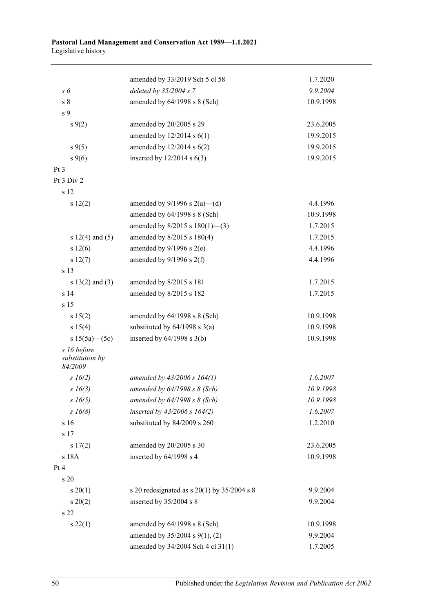#### **Pastoral Land Management and Conservation Act 1989—1.1.2021** Legislative history

|                            | amended by 33/2019 Sch 5 cl 58                  | 1.7.2020  |
|----------------------------|-------------------------------------------------|-----------|
| s 6                        | deleted by $35/2004 s$ 7                        | 9.9.2004  |
| s <sub>8</sub>             | amended by 64/1998 s 8 (Sch)                    | 10.9.1998 |
| s 9                        |                                                 |           |
| $s \, 9(2)$                | amended by 20/2005 s 29                         | 23.6.2005 |
|                            | amended by $12/2014$ s $6(1)$                   | 19.9.2015 |
| $s \, 9(5)$                | amended by $12/2014$ s $6(2)$                   | 19.9.2015 |
| $s \, 9(6)$                | inserted by $12/2014$ s $6(3)$                  | 19.9.2015 |
| Pt <sub>3</sub>            |                                                 |           |
| Pt 3 Div 2                 |                                                 |           |
| s 12                       |                                                 |           |
| s 12(2)                    | amended by $9/1996$ s $2(a)$ —(d)               | 4.4.1996  |
|                            | amended by 64/1998 s 8 (Sch)                    | 10.9.1998 |
|                            | amended by $8/2015$ s $180(1)$ —(3)             | 1.7.2015  |
| s $12(4)$ and $(5)$        | amended by 8/2015 s 180(4)                      | 1.7.2015  |
| s 12(6)                    | amended by $9/1996$ s $2(e)$                    | 4.4.1996  |
| s 12(7)                    | amended by $9/1996$ s $2(f)$                    | 4.4.1996  |
| s 13                       |                                                 |           |
| $s 13(2)$ and (3)          | amended by 8/2015 s 181                         | 1.7.2015  |
| s 14                       | amended by 8/2015 s 182                         | 1.7.2015  |
| s 15                       |                                                 |           |
| s 15(2)                    | amended by 64/1998 s 8 (Sch)                    | 10.9.1998 |
| s 15(4)                    | substituted by $64/1998$ s $3(a)$               | 10.9.1998 |
| s $15(5a)$ (5c)            | inserted by $64/1998$ s $3(b)$                  | 10.9.1998 |
| s 16 before                |                                                 |           |
| substitution by<br>84/2009 |                                                 |           |
| $s \; 16(2)$               | amended by $43/2006$ s $164(1)$                 | 1.6.2007  |
| $s\,16(3)$                 | amended by $64/1998 s 8$ (Sch)                  | 10.9.1998 |
| $s\,16(5)$                 | amended by $64/1998 s 8$ (Sch)                  | 10.9.1998 |
| $s\,16(8)$                 | inserted by $43/2006$ s $164(2)$                | 1.6.2007  |
| s 16                       | substituted by 84/2009 s 260                    | 1.2.2010  |
| s 17                       |                                                 |           |
| s 17(2)                    | amended by 20/2005 s 30                         | 23.6.2005 |
| s 18A                      | inserted by 64/1998 s 4                         | 10.9.1998 |
| Pt 4                       |                                                 |           |
| s 20                       |                                                 |           |
| $s \ 20(1)$                | s 20 redesignated as s $20(1)$ by $35/2004$ s 8 | 9.9.2004  |
| $s \ 20(2)$                | inserted by 35/2004 s 8                         | 9.9.2004  |
| s 22                       |                                                 |           |
| $s\,22(1)$                 | amended by 64/1998 s 8 (Sch)                    | 10.9.1998 |
|                            | amended by 35/2004 s 9(1), (2)                  | 9.9.2004  |
|                            | amended by 34/2004 Sch 4 cl 31(1)               | 1.7.2005  |
|                            |                                                 |           |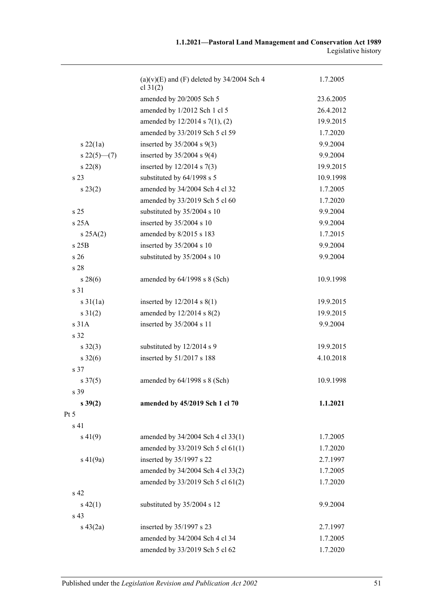|                     | $(a)(v)(E)$ and $(F)$ deleted by 34/2004 Sch 4<br>cl $31(2)$ | 1.7.2005  |
|---------------------|--------------------------------------------------------------|-----------|
|                     | amended by 20/2005 Sch 5                                     | 23.6.2005 |
|                     | amended by 1/2012 Sch 1 cl 5                                 | 26.4.2012 |
|                     | amended by $12/2014$ s $7(1)$ , (2)                          | 19.9.2015 |
|                     | amended by 33/2019 Sch 5 cl 59                               | 1.7.2020  |
| $s\ 22(1a)$         | inserted by $35/2004$ s $9(3)$                               | 9.9.2004  |
| $s22(5)$ (7)        | inserted by $35/2004$ s $9(4)$                               | 9.9.2004  |
| $s\,22(8)$          | inserted by $12/2014$ s 7(3)                                 | 19.9.2015 |
| s <sub>23</sub>     | substituted by 64/1998 s 5                                   | 10.9.1998 |
| $s\,23(2)$          | amended by 34/2004 Sch 4 cl 32                               | 1.7.2005  |
|                     | amended by 33/2019 Sch 5 cl 60                               | 1.7.2020  |
| s <sub>25</sub>     | substituted by 35/2004 s 10                                  | 9.9.2004  |
| s25A                | inserted by 35/2004 s 10                                     | 9.9.2004  |
| s 25A(2)            | amended by 8/2015 s 183                                      | 1.7.2015  |
| s 25B               | inserted by 35/2004 s 10                                     | 9.9.2004  |
| s <sub>26</sub>     | substituted by 35/2004 s 10                                  | 9.9.2004  |
| s 28                |                                                              |           |
| $s\,28(6)$          | amended by 64/1998 s 8 (Sch)                                 | 10.9.1998 |
| s 31                |                                                              |           |
| $s \, 31(1a)$       | inserted by $12/2014$ s $8(1)$                               | 19.9.2015 |
| $s \, 31(2)$        | amended by $12/2014$ s $8(2)$                                | 19.9.2015 |
| s 31A               | inserted by 35/2004 s 11                                     | 9.9.2004  |
| s 32                |                                                              |           |
| $s \, 32(3)$        | substituted by 12/2014 s 9                                   | 19.9.2015 |
| $s \, 32(6)$        | inserted by 51/2017 s 188                                    | 4.10.2018 |
| s 37                |                                                              |           |
| $s \frac{37(5)}{2}$ | amended by $64/1998$ s $8$ (Sch)                             | 10.9.1998 |
| s 39                |                                                              |           |
| $s\,39(2)$          | amended by 45/2019 Sch 1 cl 70                               | 1.1.2021  |
| Pt 5                |                                                              |           |
| s 41                |                                                              |           |
| $s\ 41(9)$          | amended by 34/2004 Sch 4 cl 33(1)                            | 1.7.2005  |
|                     | amended by 33/2019 Sch 5 cl 61(1)                            | 1.7.2020  |
| $s\ 41(9a)$         | inserted by 35/1997 s 22                                     | 2.7.1997  |
|                     | amended by 34/2004 Sch 4 cl 33(2)                            | 1.7.2005  |
|                     | amended by 33/2019 Sch 5 cl 61(2)                            | 1.7.2020  |
| s <sub>42</sub>     |                                                              |           |
| $s\,42(1)$          | substituted by 35/2004 s 12                                  | 9.9.2004  |
| s 43                |                                                              |           |
| $s\ 43(2a)$         | inserted by 35/1997 s 23                                     | 2.7.1997  |
|                     | amended by 34/2004 Sch 4 cl 34                               | 1.7.2005  |
|                     | amended by 33/2019 Sch 5 cl 62                               | 1.7.2020  |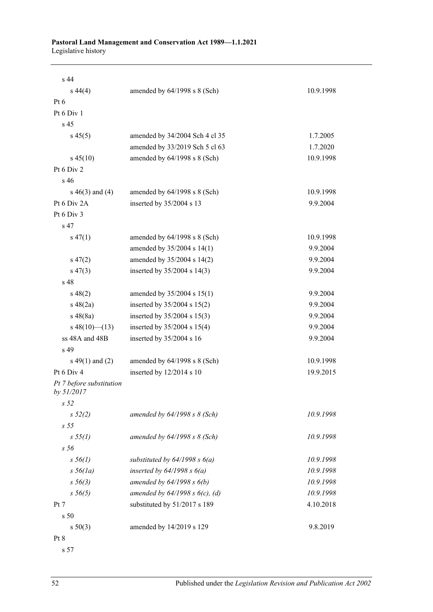#### **Pastoral Land Management and Conservation Act 1989—1.1.2021** Legislative history

| s 44                                   |                                   |           |
|----------------------------------------|-----------------------------------|-----------|
| $s\,44(4)$                             | amended by $64/1998$ s $8$ (Sch)  | 10.9.1998 |
| Pt $6$                                 |                                   |           |
| Pt 6 Div 1                             |                                   |           |
| s 45                                   |                                   |           |
| $s\,45(5)$                             | amended by 34/2004 Sch 4 cl 35    | 1.7.2005  |
|                                        | amended by 33/2019 Sch 5 cl 63    | 1.7.2020  |
| $s\,45(10)$                            | amended by 64/1998 s 8 (Sch)      | 10.9.1998 |
| Pt 6 Div 2                             |                                   |           |
| s <sub>46</sub>                        |                                   |           |
| $s\ 46(3)$ and (4)                     | amended by $64/1998$ s $8$ (Sch)  | 10.9.1998 |
| Pt 6 Div 2A                            | inserted by 35/2004 s 13          | 9.9.2004  |
| Pt 6 Div 3                             |                                   |           |
| s <sub>47</sub>                        |                                   |           |
| $s\,47(1)$                             | amended by $64/1998$ s $8$ (Sch)  | 10.9.1998 |
|                                        | amended by 35/2004 s 14(1)        | 9.9.2004  |
| $s\,47(2)$                             | amended by 35/2004 s 14(2)        | 9.9.2004  |
| $s\,47(3)$                             | inserted by $35/2004$ s 14(3)     | 9.9.2004  |
| s 48                                   |                                   |           |
| $s\ 48(2)$                             | amended by $35/2004$ s $15(1)$    | 9.9.2004  |
| $s\ 48(2a)$                            | inserted by $35/2004$ s $15(2)$   | 9.9.2004  |
| $s\,48(8a)$                            | inserted by $35/2004$ s $15(3)$   | 9.9.2004  |
| $s\ 48(10)$ (13)                       | inserted by $35/2004$ s $15(4)$   | 9.9.2004  |
| ss 48A and 48B                         | inserted by 35/2004 s 16          | 9.9.2004  |
| s 49                                   |                                   |           |
| s $49(1)$ and $(2)$                    | amended by $64/1998$ s $8$ (Sch)  | 10.9.1998 |
| Pt $6$ Div $4$                         | inserted by $12/2014$ s 10        | 19.9.2015 |
| Pt 7 before substitution<br>by 51/2017 |                                   |           |
| s <sub>52</sub>                        |                                   |           |
| $s\,52(2)$                             | amended by $64/1998 s 8$ (Sch)    | 10.9.1998 |
| s <sub>55</sub>                        |                                   |           |
| s 55(1)                                | amended by $64/1998$ s $8$ (Sch)  | 10.9.1998 |
| s <sub>56</sub>                        |                                   |           |
| $s\,56(1)$                             | substituted by $64/1998 s 6(a)$   | 10.9.1998 |
| $s\,56(1a)$                            | inserted by $64/1998 s 6(a)$      | 10.9.1998 |
| $s\,56(3)$                             | amended by $64/1998 s 6(b)$       | 10.9.1998 |
| $s\,56(5)$                             | amended by $64/1998 s 6(c)$ , (d) | 10.9.1998 |
| Pt 7                                   | substituted by 51/2017 s 189      | 4.10.2018 |
| s 50                                   |                                   |           |
| s 50(3)                                | amended by 14/2019 s 129          | 9.8.2019  |
| Pt 8                                   |                                   |           |

s 57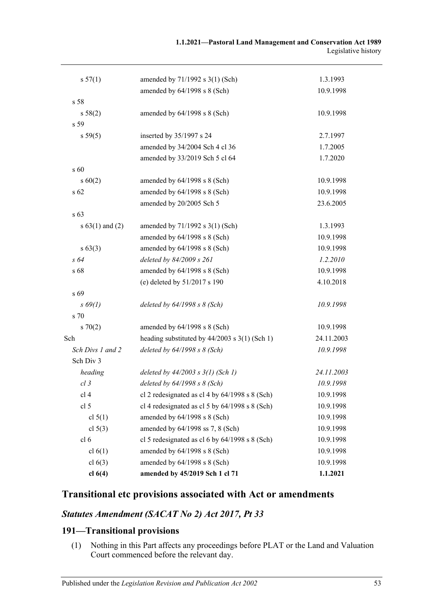| s 57(1)             | amended by 71/1992 s 3(1) (Sch)                   | 1.3.1993   |
|---------------------|---------------------------------------------------|------------|
|                     | amended by 64/1998 s 8 (Sch)                      | 10.9.1998  |
| s <sub>58</sub>     |                                                   |            |
| s 58(2)             | amended by $64/1998$ s $8$ (Sch)                  | 10.9.1998  |
| s 59                |                                                   |            |
| s 59(5)             | inserted by 35/1997 s 24                          | 2.7.1997   |
|                     | amended by 34/2004 Sch 4 cl 36                    | 1.7.2005   |
|                     | amended by 33/2019 Sch 5 cl 64                    | 1.7.2020   |
| s 60                |                                                   |            |
| $s\ 60(2)$          | amended by $64/1998$ s $8$ (Sch)                  | 10.9.1998  |
| s <sub>62</sub>     | amended by 64/1998 s 8 (Sch)                      | 10.9.1998  |
|                     | amended by 20/2005 Sch 5                          | 23.6.2005  |
| s 63                |                                                   |            |
| s $63(1)$ and $(2)$ | amended by 71/1992 s 3(1) (Sch)                   | 1.3.1993   |
|                     | amended by 64/1998 s 8 (Sch)                      | 10.9.1998  |
| $s\,63(3)$          | amended by 64/1998 s 8 (Sch)                      | 10.9.1998  |
| s 64                | deleted by 84/2009 s 261                          | 1.2.2010   |
| s 68                | amended by 64/1998 s 8 (Sch)                      | 10.9.1998  |
|                     | (e) deleted by 51/2017 s 190                      | 4.10.2018  |
| s 69                |                                                   |            |
| $s\,69(1)$          | deleted by $64/1998 s 8$ (Sch)                    | 10.9.1998  |
| s 70                |                                                   |            |
| 570(2)              | amended by 64/1998 s 8 (Sch)                      | 10.9.1998  |
| Sch                 | heading substituted by $44/2003$ s $3(1)$ (Sch 1) | 24.11.2003 |
| Sch Divs 1 and 2    | deleted by $64/1998 s 8$ (Sch)                    | 10.9.1998  |
| Sch Div 3           |                                                   |            |
| heading             | deleted by $44/2003$ s $3(1)$ (Sch 1)             | 24.11.2003 |
| $cl$ 3              | deleted by $64/1998 s 8$ (Sch)                    | 10.9.1998  |
| cl 4                | cl 2 redesignated as cl 4 by $64/1998$ s 8 (Sch)  | 10.9.1998  |
| cl <sub>5</sub>     | cl 4 redesignated as cl 5 by $64/1998$ s 8 (Sch)  | 10.9.1998  |
| cl $5(1)$           | amended by 64/1998 s 8 (Sch)                      | 10.9.1998  |
| cl $5(3)$           | amended by 64/1998 ss 7, 8 (Sch)                  | 10.9.1998  |
| cl <sub>6</sub>     | cl 5 redesignated as cl 6 by $64/1998$ s 8 (Sch)  | 10.9.1998  |
| cl 6(1)             | amended by 64/1998 s 8 (Sch)                      | 10.9.1998  |
| cl $6(3)$           | amended by 64/1998 s 8 (Sch)                      | 10.9.1998  |
| cl $6(4)$           | amended by 45/2019 Sch 1 cl 71                    | 1.1.2021   |

## **Transitional etc provisions associated with Act or amendments**

## *Statutes Amendment (SACAT No 2) Act 2017, Pt 33*

## **191—Transitional provisions**

(1) Nothing in this Part affects any proceedings before PLAT or the Land and Valuation Court commenced before the relevant day.